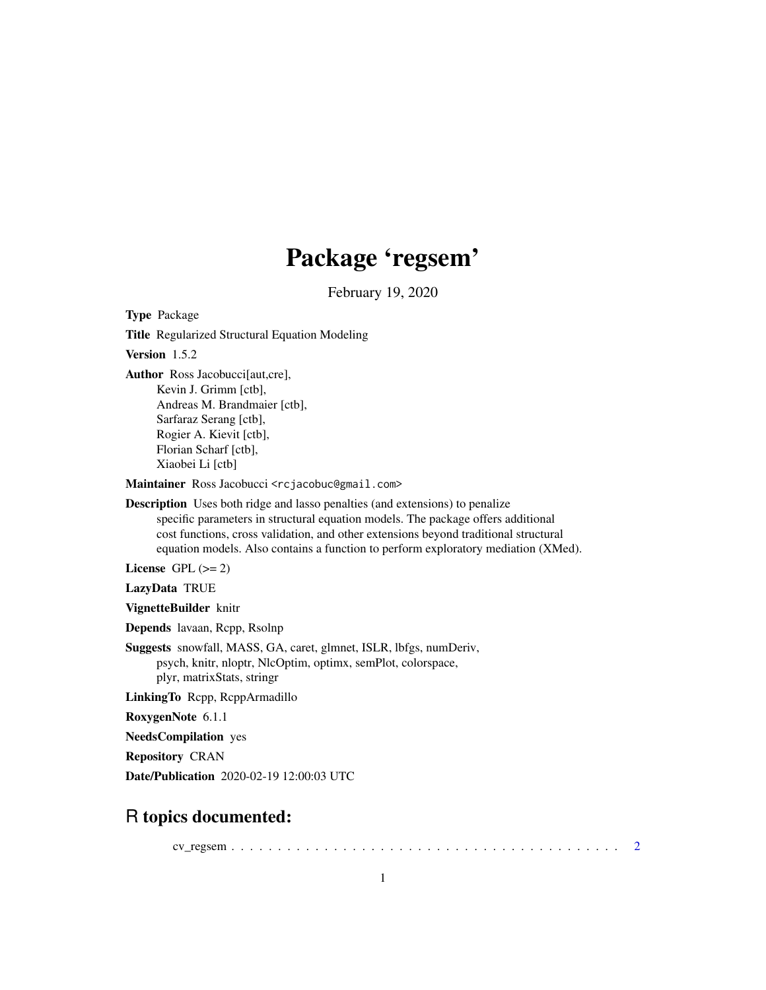# Package 'regsem'

February 19, 2020

Type Package

Title Regularized Structural Equation Modeling

Version 1.5.2

Author Ross Jacobucci[aut,cre], Kevin J. Grimm [ctb], Andreas M. Brandmaier [ctb], Sarfaraz Serang [ctb],

Rogier A. Kievit [ctb], Florian Scharf [ctb],

Xiaobei Li [ctb]

Maintainer Ross Jacobucci <rcjacobuc@gmail.com>

Description Uses both ridge and lasso penalties (and extensions) to penalize specific parameters in structural equation models. The package offers additional cost functions, cross validation, and other extensions beyond traditional structural equation models. Also contains a function to perform exploratory mediation (XMed).

License GPL  $(>= 2)$ 

LazyData TRUE

VignetteBuilder knitr

Depends lavaan, Rcpp, Rsolnp

Suggests snowfall, MASS, GA, caret, glmnet, ISLR, lbfgs, numDeriv, psych, knitr, nloptr, NlcOptim, optimx, semPlot, colorspace, plyr, matrixStats, stringr

LinkingTo Rcpp, RcppArmadillo

RoxygenNote 6.1.1

NeedsCompilation yes

Repository CRAN

Date/Publication 2020-02-19 12:00:03 UTC

# R topics documented:

cv\_regsem . . . . . . . . . . . . . . . . . . . . . . . . . . . . . . . . . . . . . . . . . . [2](#page-1-0)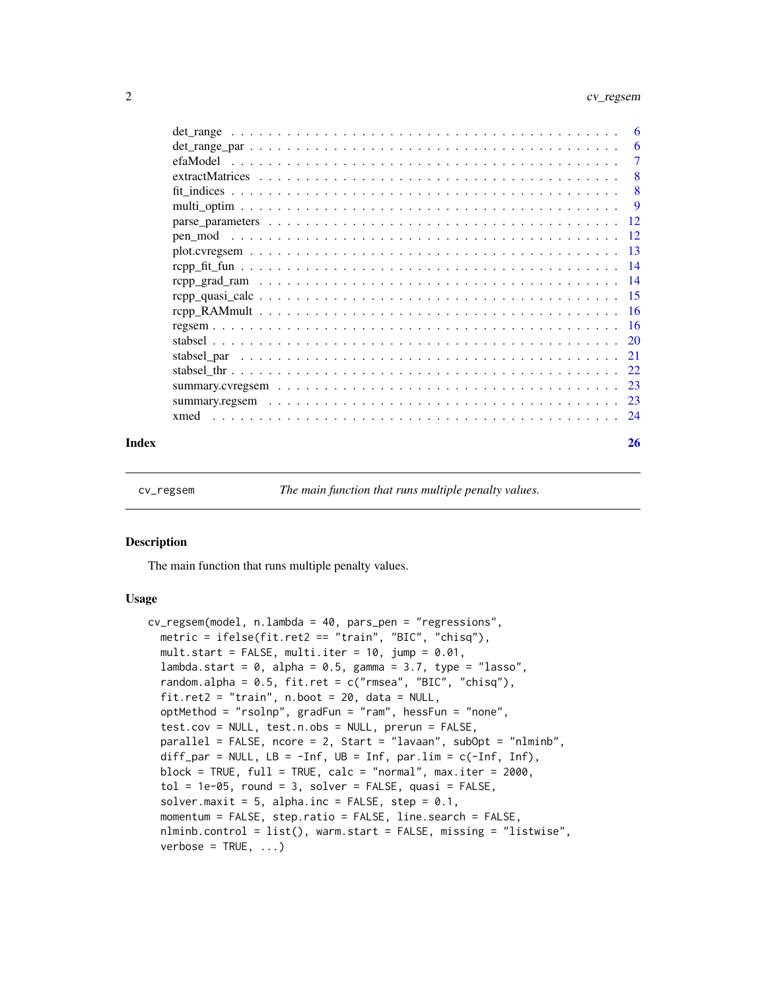# <span id="page-1-0"></span>2 cv\_regsem

|         | -6  |
|---------|-----|
|         | 6   |
|         | 7   |
|         | 8   |
|         | 8   |
|         | -9  |
|         | -12 |
| pen mod |     |
|         |     |
|         |     |
|         |     |
|         |     |
|         |     |
|         |     |
|         | -20 |
|         | 21  |
|         | 22  |
|         |     |
|         | 23  |
| xmed    | 24  |
|         |     |

#### **Index** [26](#page-25-0)

cv\_regsem *The main function that runs multiple penalty values.*

#### Description

The main function that runs multiple penalty values.

#### Usage

```
cv_regsem(model, n.lambda = 40, pars_pen = "regressions",
 metric = ifelse(fit.ret2 == "train", "BIC", "chisq"),
 mult.start = FALSE, multi.iter = 10, jump = 0.01,
 lambda.start = 0, alpha = 0.5, gamma = 3.7, type = "lasso",
  random.alpha = 0.5, fit.ret = c("rmsea", "BIC", "chisq"),fit.ret2 = "train", n.boot = 20, data = NULL,optMethod = "rsolnp", gradFun = "ram", hessFun = "none",
  test.cov = NULL, test.n.obs = NULL, prerun = FALSE,
 parallel = FALSE, ncore = 2, Start = "lavaan", subOpt = "nlminb",
 diff_par = NULL, LB = -Inf, UB = Inf, par.lim = c(-Inf), Inf),
 block = TRUE, full = TRUE, calc = "normal", max.iter = 2000,
  tol = 1e-05, round = 3, solver = FALSE, quasi = FALSE,
  solver.maxit = 5, alpha.inc = FALSE, step = 0.1,
 momentum = FALSE, step.ratio = FALSE, line.search = FALSE,
 nlminb.control = list(), warm.start = FALSE, missing = "listwise",
  verbose = TRUE, ...)
```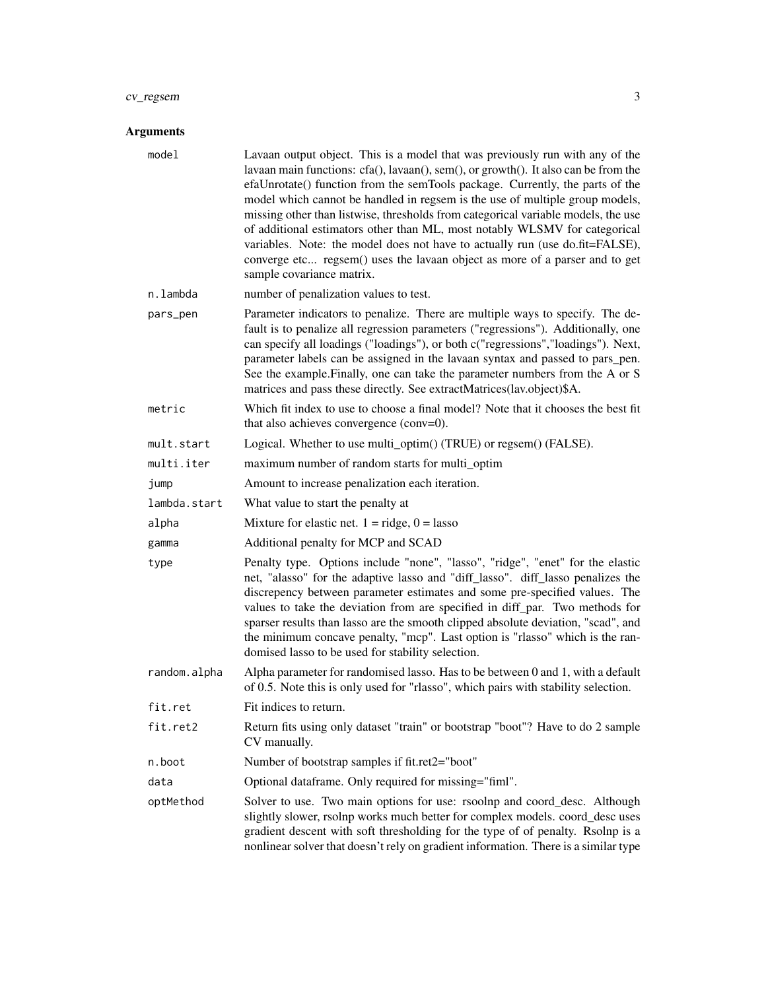# cv\_regsem 3

| model        | Lavaan output object. This is a model that was previously run with any of the<br>lavaan main functions: cfa(), lavaan(), sem(), or growth(). It also can be from the<br>efaUnrotate() function from the semTools package. Currently, the parts of the<br>model which cannot be handled in regsem is the use of multiple group models,<br>missing other than listwise, thresholds from categorical variable models, the use<br>of additional estimators other than ML, most notably WLSMV for categorical<br>variables. Note: the model does not have to actually run (use do.fit=FALSE),<br>converge etc regsem() uses the lavaan object as more of a parser and to get<br>sample covariance matrix. |
|--------------|------------------------------------------------------------------------------------------------------------------------------------------------------------------------------------------------------------------------------------------------------------------------------------------------------------------------------------------------------------------------------------------------------------------------------------------------------------------------------------------------------------------------------------------------------------------------------------------------------------------------------------------------------------------------------------------------------|
| n.lambda     | number of penalization values to test.                                                                                                                                                                                                                                                                                                                                                                                                                                                                                                                                                                                                                                                               |
| pars_pen     | Parameter indicators to penalize. There are multiple ways to specify. The de-<br>fault is to penalize all regression parameters ("regressions"). Additionally, one<br>can specify all loadings ("loadings"), or both c("regressions","loadings"). Next,<br>parameter labels can be assigned in the lavaan syntax and passed to pars_pen.<br>See the example. Finally, one can take the parameter numbers from the A or S<br>matrices and pass these directly. See extractMatrices(lav.object)\$A.                                                                                                                                                                                                    |
| metric       | Which fit index to use to choose a final model? Note that it chooses the best fit<br>that also achieves convergence (conv=0).                                                                                                                                                                                                                                                                                                                                                                                                                                                                                                                                                                        |
| mult.start   | Logical. Whether to use multi_optim() (TRUE) or regsem() (FALSE).                                                                                                                                                                                                                                                                                                                                                                                                                                                                                                                                                                                                                                    |
| multi.iter   | maximum number of random starts for multi_optim                                                                                                                                                                                                                                                                                                                                                                                                                                                                                                                                                                                                                                                      |
| jump         | Amount to increase penalization each iteration.                                                                                                                                                                                                                                                                                                                                                                                                                                                                                                                                                                                                                                                      |
| lambda.start | What value to start the penalty at                                                                                                                                                                                                                                                                                                                                                                                                                                                                                                                                                                                                                                                                   |
| alpha        | Mixture for elastic net. $1 =$ ridge, $0 =$ lasso                                                                                                                                                                                                                                                                                                                                                                                                                                                                                                                                                                                                                                                    |
| gamma        | Additional penalty for MCP and SCAD                                                                                                                                                                                                                                                                                                                                                                                                                                                                                                                                                                                                                                                                  |
| type         | Penalty type. Options include "none", "lasso", "ridge", "enet" for the elastic<br>net, "alasso" for the adaptive lasso and "diff_lasso". diff_lasso penalizes the<br>discrepency between parameter estimates and some pre-specified values. The<br>values to take the deviation from are specified in diff_par. Two methods for<br>sparser results than lasso are the smooth clipped absolute deviation, "scad", and<br>the minimum concave penalty, "mcp". Last option is "rlasso" which is the ran-<br>domised lasso to be used for stability selection.                                                                                                                                           |
| random.alpha | Alpha parameter for randomised lasso. Has to be between 0 and 1, with a default<br>of 0.5. Note this is only used for "rlasso", which pairs with stability selection.                                                                                                                                                                                                                                                                                                                                                                                                                                                                                                                                |
| fit.ret      | Fit indices to return.                                                                                                                                                                                                                                                                                                                                                                                                                                                                                                                                                                                                                                                                               |
| fit.ret2     | Return fits using only dataset "train" or bootstrap "boot"? Have to do 2 sample<br>CV manually.                                                                                                                                                                                                                                                                                                                                                                                                                                                                                                                                                                                                      |
| n.boot       | Number of bootstrap samples if fit.ret2="boot"                                                                                                                                                                                                                                                                                                                                                                                                                                                                                                                                                                                                                                                       |
| data         | Optional dataframe. Only required for missing="fiml".                                                                                                                                                                                                                                                                                                                                                                                                                                                                                                                                                                                                                                                |
| optMethod    | Solver to use. Two main options for use: rsoolnp and coord_desc. Although<br>slightly slower, rsolnp works much better for complex models. coord_desc uses<br>gradient descent with soft thresholding for the type of of penalty. Rsolnp is a<br>nonlinear solver that doesn't rely on gradient information. There is a similar type                                                                                                                                                                                                                                                                                                                                                                 |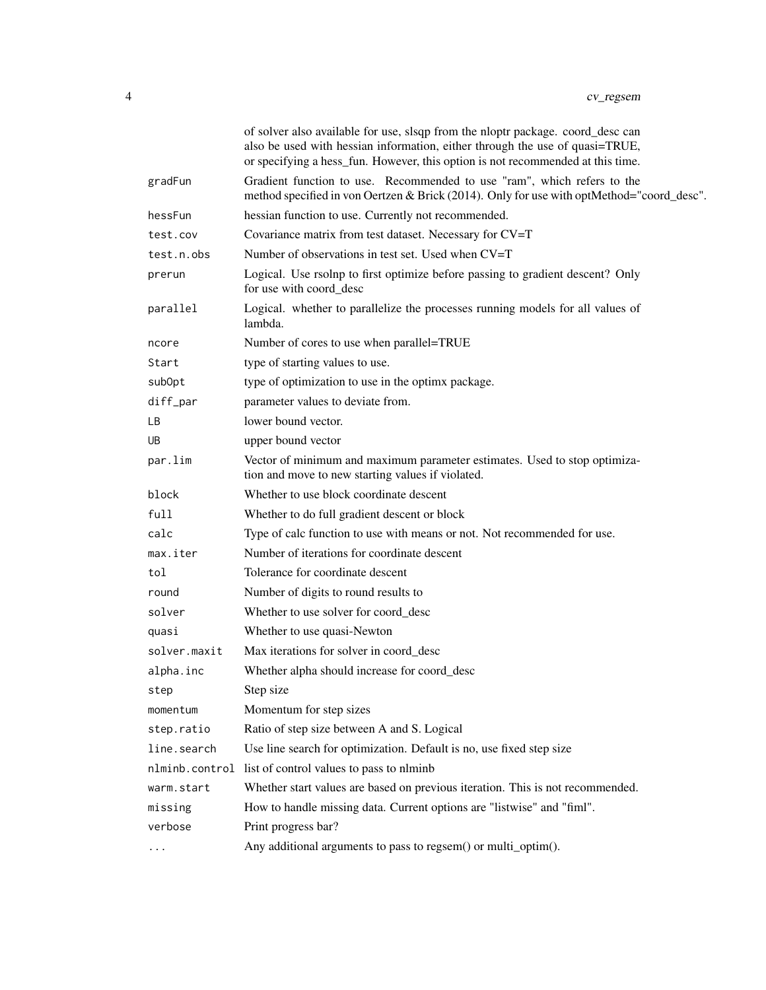|              | of solver also available for use, slsqp from the nloptr package. coord_desc can<br>also be used with hessian information, either through the use of quasi=TRUE,<br>or specifying a hess_fun. However, this option is not recommended at this time. |
|--------------|----------------------------------------------------------------------------------------------------------------------------------------------------------------------------------------------------------------------------------------------------|
| gradFun      | Gradient function to use. Recommended to use "ram", which refers to the<br>method specified in von Oertzen & Brick (2014). Only for use with optMethod="coord_desc".                                                                               |
| hessFun      | hessian function to use. Currently not recommended.                                                                                                                                                                                                |
| test.cov     | Covariance matrix from test dataset. Necessary for CV=T                                                                                                                                                                                            |
| test.n.obs   | Number of observations in test set. Used when CV=T                                                                                                                                                                                                 |
| prerun       | Logical. Use rsolnp to first optimize before passing to gradient descent? Only<br>for use with coord_desc                                                                                                                                          |
| parallel     | Logical. whether to parallelize the processes running models for all values of<br>lambda.                                                                                                                                                          |
| ncore        | Number of cores to use when parallel=TRUE                                                                                                                                                                                                          |
| Start        | type of starting values to use.                                                                                                                                                                                                                    |
| subOpt       | type of optimization to use in the optimx package.                                                                                                                                                                                                 |
| diff_par     | parameter values to deviate from.                                                                                                                                                                                                                  |
| LB.          | lower bound vector.                                                                                                                                                                                                                                |
| UB.          | upper bound vector                                                                                                                                                                                                                                 |
| par.lim      | Vector of minimum and maximum parameter estimates. Used to stop optimiza-<br>tion and move to new starting values if violated.                                                                                                                     |
| block        | Whether to use block coordinate descent                                                                                                                                                                                                            |
| full         | Whether to do full gradient descent or block                                                                                                                                                                                                       |
| calc         | Type of calc function to use with means or not. Not recommended for use.                                                                                                                                                                           |
| max.iter     | Number of iterations for coordinate descent                                                                                                                                                                                                        |
| tol          | Tolerance for coordinate descent                                                                                                                                                                                                                   |
| round        | Number of digits to round results to                                                                                                                                                                                                               |
| solver       | Whether to use solver for coord desc                                                                                                                                                                                                               |
| quasi        | Whether to use quasi-Newton                                                                                                                                                                                                                        |
| solver.maxit | Max iterations for solver in coord_desc                                                                                                                                                                                                            |
| alpha.inc    | Whether alpha should increase for coord_desc                                                                                                                                                                                                       |
| step         | Step size                                                                                                                                                                                                                                          |
| momentum     | Momentum for step sizes                                                                                                                                                                                                                            |
| step.ratio   | Ratio of step size between A and S. Logical                                                                                                                                                                                                        |
| line.search  | Use line search for optimization. Default is no, use fixed step size                                                                                                                                                                               |
|              | nlminb.control list of control values to pass to nlminb                                                                                                                                                                                            |
| warm.start   | Whether start values are based on previous iteration. This is not recommended.                                                                                                                                                                     |
| missing      | How to handle missing data. Current options are "listwise" and "fiml".                                                                                                                                                                             |
| verbose      | Print progress bar?                                                                                                                                                                                                                                |
| .            | Any additional arguments to pass to regsem() or multi_optim().                                                                                                                                                                                     |
|              |                                                                                                                                                                                                                                                    |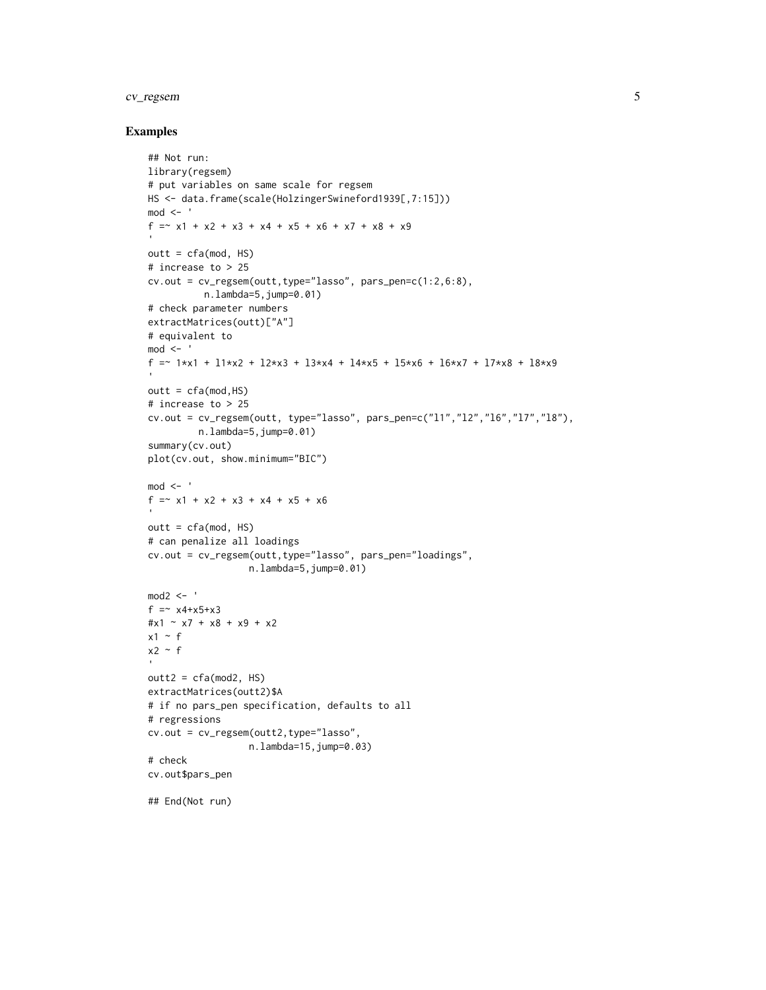# cv\_regsem 5

#### Examples

```
## Not run:
library(regsem)
# put variables on same scale for regsem
HS <- data.frame(scale(HolzingerSwineford1939[,7:15]))
mod < -f = x1 + x2 + x3 + x4 + x5 + x6 + x7 + x8 + x9outt = cfa(mod, HS)# increase to > 25
cv.out = cv_regsem(outt,type="lasso", pars_pen=c(1:2,6:8),
          n.lambda=5,jump=0.01)
# check parameter numbers
extractMatrices(outt)["A"]
# equivalent to
mod < -f =~ 1*x1 + l1*x2 + l2*x3 + l3*x4 + l4*x5 + l5*x6 + l6*x7 + l7*x8 + l8*x9
outt = cfa(mod,HS)# increase to > 25
cv.out = cv_regsem(outt, type="lasso", pars_pen=c("l1","l2","l6","l7","l8"),
         n.lambda=5,jump=0.01)
summary(cv.out)
plot(cv.out, show.minimum="BIC")
mod < -f =~ x1 + x2 + x3 + x4 + x5 + x6
outt = cfa(mod, HS)# can penalize all loadings
cv.out = cv_regsem(outt,type="lasso", pars_pen="loadings",
                 n.lambda=5,jump=0.01)
mod2 <- 'f =~ x4+x5+x3
#x1 ~ x7 + x8 + x9 + x2
x1 - fx2 - foutt2 = cfa(mod2, HS)extractMatrices(outt2)$A
# if no pars_pen specification, defaults to all
# regressions
cv.out = cv_regsem(outt2,type="lasso",
                  n.lambda=15, jump=0.03# check
cv.out$pars_pen
## End(Not run)
```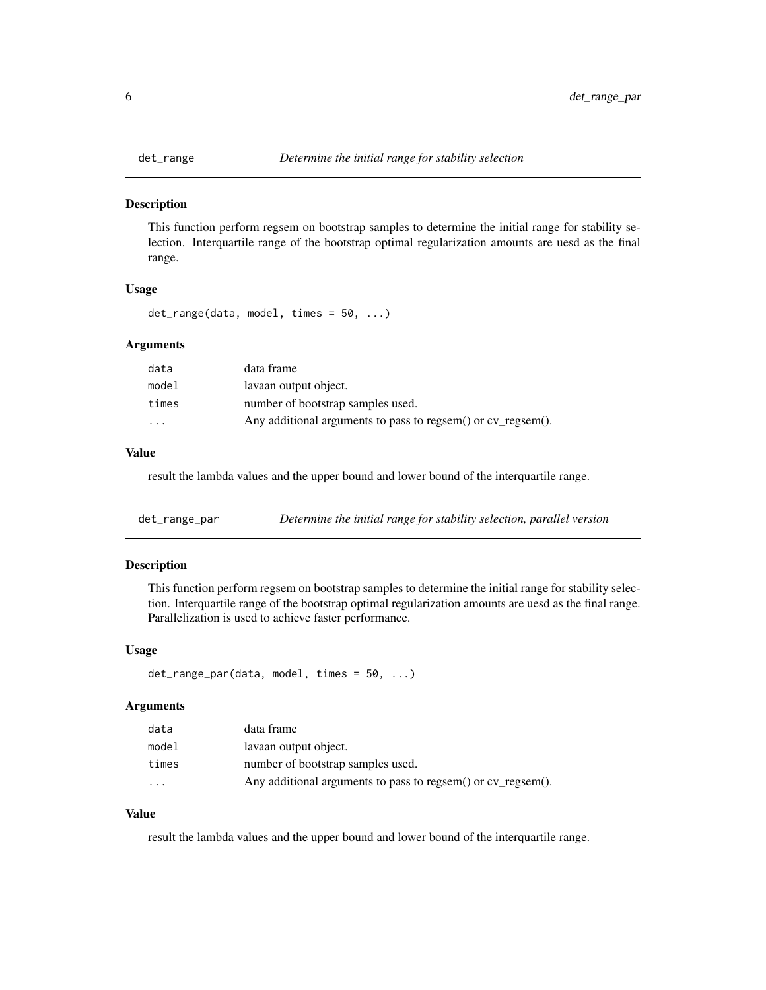<span id="page-5-0"></span>

This function perform regsem on bootstrap samples to determine the initial range for stability selection. Interquartile range of the bootstrap optimal regularization amounts are uesd as the final range.

#### Usage

det\_range(data, model, times = 50, ...)

#### Arguments

| data     | data frame                                                   |
|----------|--------------------------------------------------------------|
| model    | lavaan output object.                                        |
| times    | number of bootstrap samples used.                            |
| $\cdots$ | Any additional arguments to pass to regsem() or cv_regsem(). |

### Value

result the lambda values and the upper bound and lower bound of the interquartile range.

| det_range_par | Determine the initial range for stability selection, parallel version |  |
|---------------|-----------------------------------------------------------------------|--|
|---------------|-----------------------------------------------------------------------|--|

# Description

This function perform regsem on bootstrap samples to determine the initial range for stability selection. Interquartile range of the bootstrap optimal regularization amounts are uesd as the final range. Parallelization is used to achieve faster performance.

#### Usage

```
det_range_par(data, model, times = 50, ...)
```
#### Arguments

| data      | data frame                                                   |
|-----------|--------------------------------------------------------------|
| model     | lavaan output object.                                        |
| times     | number of bootstrap samples used.                            |
| $\ddotsc$ | Any additional arguments to pass to regsem() or cv_regsem(). |

# Value

result the lambda values and the upper bound and lower bound of the interquartile range.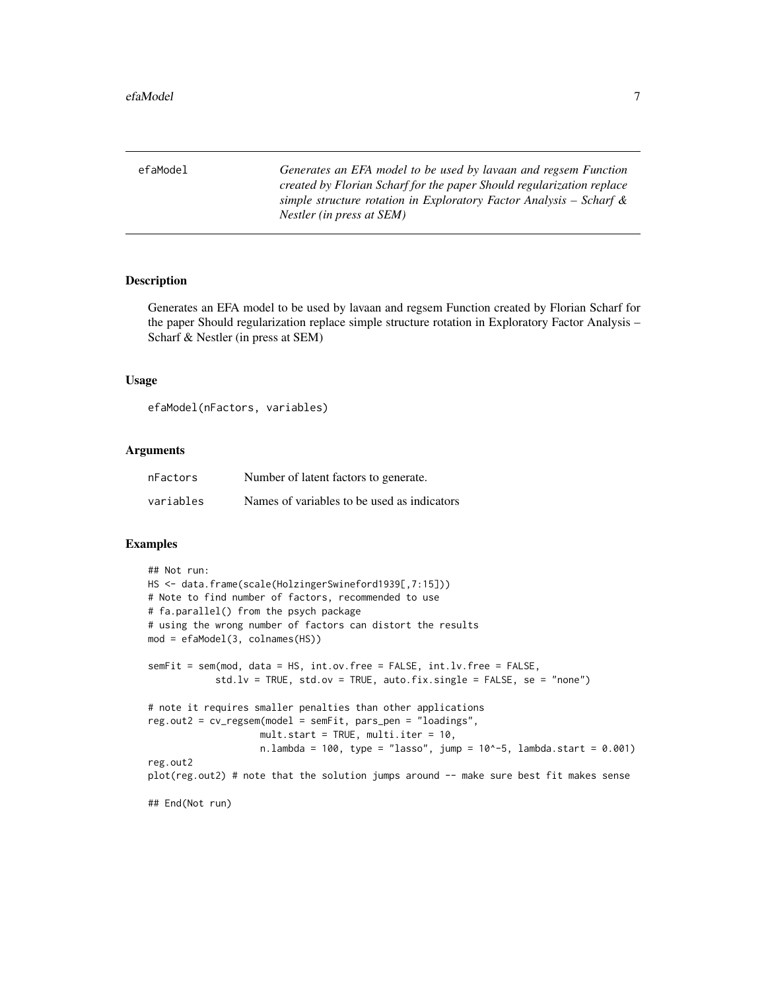<span id="page-6-0"></span>efaModel *Generates an EFA model to be used by lavaan and regsem Function created by Florian Scharf for the paper Should regularization replace simple structure rotation in Exploratory Factor Analysis – Scharf & Nestler (in press at SEM)*

### **Description**

Generates an EFA model to be used by lavaan and regsem Function created by Florian Scharf for the paper Should regularization replace simple structure rotation in Exploratory Factor Analysis – Scharf & Nestler (in press at SEM)

#### Usage

```
efaModel(nFactors, variables)
```
#### Arguments

| nFactors  | Number of latent factors to generate.       |
|-----------|---------------------------------------------|
| variables | Names of variables to be used as indicators |

#### Examples

```
## Not run:
HS <- data.frame(scale(HolzingerSwineford1939[,7:15]))
# Note to find number of factors, recommended to use
# fa.parallel() from the psych package
# using the wrong number of factors can distort the results
mod = efaModel(3, colnames(HS))
semFit = sem(mod, data = HS, int.ov.free = FALSE, int.lv.free = FALSE,
            std.lv = TRUE, std.ov = TRUE, auto.fix.single = FALSE, se = "none")
# note it requires smaller penalties than other applications
reg.out2 = cv_regsem(model = semFit, pars_pen = "loadings",
                    mult.start = TRUE, multi.iter = 10,
                    n.lambda = 100, type = "lasso", jump = 10^-5, lambda.start = 0.001)
reg.out2
plot(reg.out2) # note that the solution jumps around -- make sure best fit makes sense
## End(Not run)
```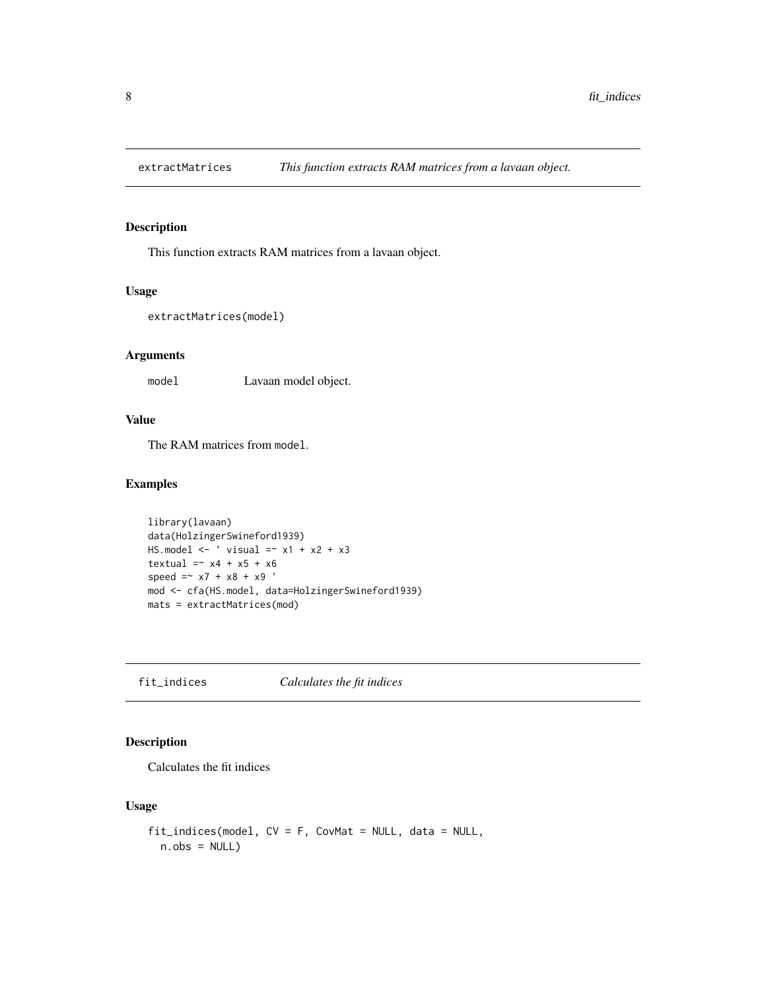<span id="page-7-0"></span>

This function extracts RAM matrices from a lavaan object.

#### Usage

```
extractMatrices(model)
```
# Arguments

model Lavaan model object.

# Value

The RAM matrices from model.

#### Examples

```
library(lavaan)
data(HolzingerSwineford1939)
HS.model \leftarrow ' visual =~ x1 + x2 + x3
textual = x4 + x5 + x6speed =~x7 + x8 + x9mod <- cfa(HS.model, data=HolzingerSwineford1939)
mats = extractMatrices(mod)
```
fit\_indices *Calculates the fit indices*

# Description

Calculates the fit indices

### Usage

```
fit_indices(model, CV = F, CovMat = NULL, data = NULL,
 n.obs = NULL)
```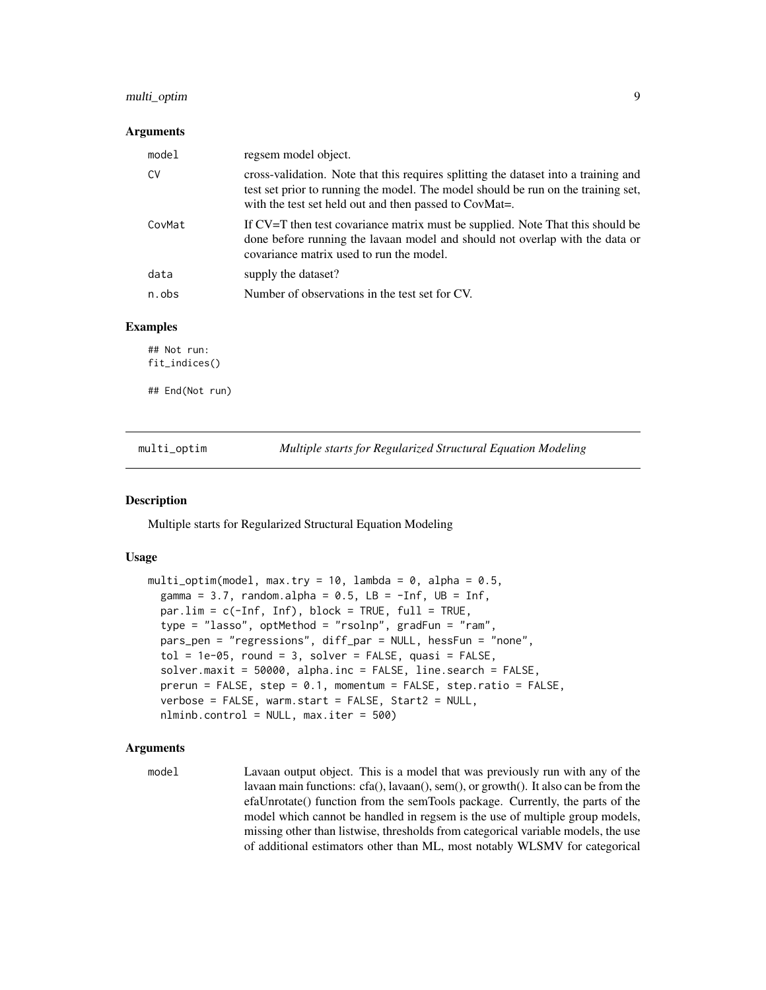#### <span id="page-8-0"></span>multi\_optim 9

#### **Arguments**

| model  | regsem model object.                                                                                                                                                                                                               |
|--------|------------------------------------------------------------------------------------------------------------------------------------------------------------------------------------------------------------------------------------|
| CV     | cross-validation. Note that this requires splitting the dataset into a training and<br>test set prior to running the model. The model should be run on the training set,<br>with the test set held out and then passed to CovMat=. |
| CovMat | If CV=T then test covariance matrix must be supplied. Note That this should be<br>done before running the lavaan model and should not overlap with the data or<br>covariance matrix used to run the model.                         |
| data   | supply the dataset?                                                                                                                                                                                                                |
| n.obs  | Number of observations in the test set for CV.                                                                                                                                                                                     |
|        |                                                                                                                                                                                                                                    |

#### Examples

## Not run: fit\_indices()

## End(Not run)

<span id="page-8-1"></span>multi\_optim *Multiple starts for Regularized Structural Equation Modeling*

#### Description

Multiple starts for Regularized Structural Equation Modeling

#### Usage

```
multi_optim(model, max.try = 10, lambda = 0, alpha = 0.5,
  gamma = 3.7, random.alpha = 0.5, LB = -Inf, UB = Inf,
 par.lim = c(-Inf, Inf), block = TRUE, full = TRUE,type = "lasso", optMethod = "rsolnp", gradFun = "ram",
 pars_pen = "regressions", diff_par = NULL, hessFun = "none",
  tol = 1e-05, round = 3, solver = FALSE, quasi = FALSE,
  solver.maxit = 50000, alpha.inc = FALSE, line.search = FALSE,
 prerun = FALSE, step = 0.1, momentum = FALSE, step.ratio = FALSE,
  verbose = FALSE, warm.start = FALSE, Start2 = NULL,
  nlminb.control = NULL, max.iter = 500)
```
#### Arguments

model Lavaan output object. This is a model that was previously run with any of the lavaan main functions: cfa(), lavaan(), sem(), or growth(). It also can be from the efaUnrotate() function from the semTools package. Currently, the parts of the model which cannot be handled in regsem is the use of multiple group models, missing other than listwise, thresholds from categorical variable models, the use of additional estimators other than ML, most notably WLSMV for categorical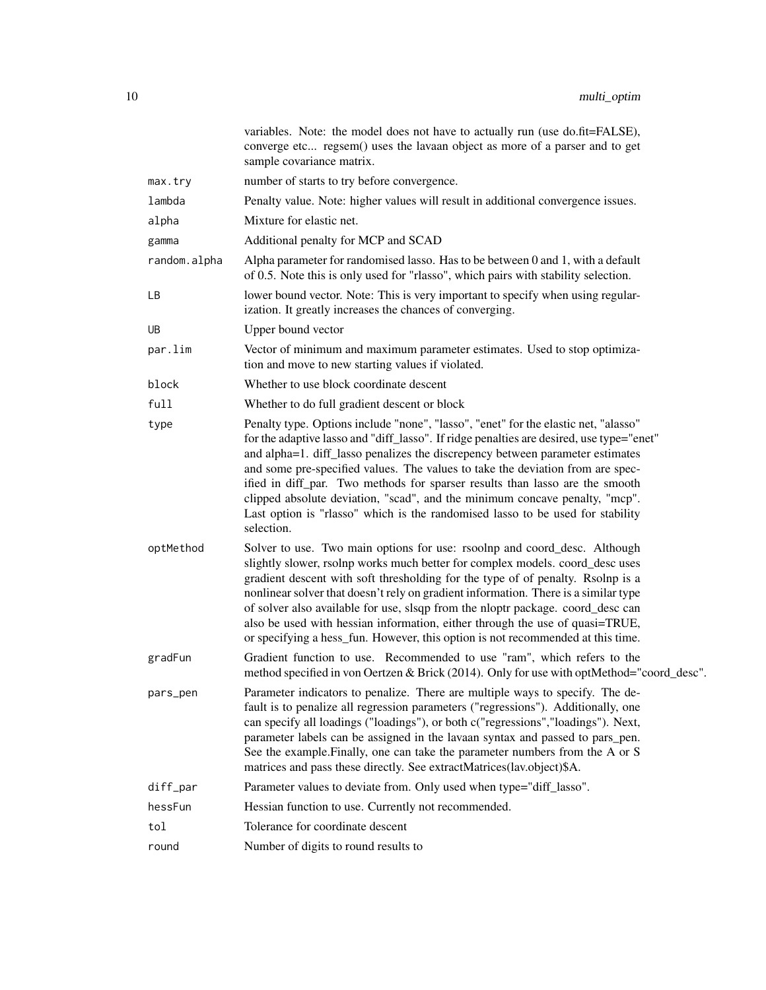|              | variables. Note: the model does not have to actually run (use do.fit=FALSE),<br>converge etc regsem() uses the lavaan object as more of a parser and to get<br>sample covariance matrix.                                                                                                                                                                                                                                                                                                                                                                                                                          |
|--------------|-------------------------------------------------------------------------------------------------------------------------------------------------------------------------------------------------------------------------------------------------------------------------------------------------------------------------------------------------------------------------------------------------------------------------------------------------------------------------------------------------------------------------------------------------------------------------------------------------------------------|
| max.try      | number of starts to try before convergence.                                                                                                                                                                                                                                                                                                                                                                                                                                                                                                                                                                       |
| lambda       | Penalty value. Note: higher values will result in additional convergence issues.                                                                                                                                                                                                                                                                                                                                                                                                                                                                                                                                  |
| alpha        | Mixture for elastic net.                                                                                                                                                                                                                                                                                                                                                                                                                                                                                                                                                                                          |
| gamma        | Additional penalty for MCP and SCAD                                                                                                                                                                                                                                                                                                                                                                                                                                                                                                                                                                               |
| random.alpha | Alpha parameter for randomised lasso. Has to be between 0 and 1, with a default<br>of 0.5. Note this is only used for "rlasso", which pairs with stability selection.                                                                                                                                                                                                                                                                                                                                                                                                                                             |
| LB           | lower bound vector. Note: This is very important to specify when using regular-<br>ization. It greatly increases the chances of converging.                                                                                                                                                                                                                                                                                                                                                                                                                                                                       |
| UB           | Upper bound vector                                                                                                                                                                                                                                                                                                                                                                                                                                                                                                                                                                                                |
| par.lim      | Vector of minimum and maximum parameter estimates. Used to stop optimiza-<br>tion and move to new starting values if violated.                                                                                                                                                                                                                                                                                                                                                                                                                                                                                    |
| block        | Whether to use block coordinate descent                                                                                                                                                                                                                                                                                                                                                                                                                                                                                                                                                                           |
| full         | Whether to do full gradient descent or block                                                                                                                                                                                                                                                                                                                                                                                                                                                                                                                                                                      |
| type         | Penalty type. Options include "none", "lasso", "enet" for the elastic net, "alasso"<br>for the adaptive lasso and "diff_lasso". If ridge penalties are desired, use type="enet"<br>and alpha=1. diff_lasso penalizes the discrepency between parameter estimates<br>and some pre-specified values. The values to take the deviation from are spec-<br>ified in diff_par. Two methods for sparser results than lasso are the smooth<br>clipped absolute deviation, "scad", and the minimum concave penalty, "mcp".<br>Last option is "rlasso" which is the randomised lasso to be used for stability<br>selection. |
| optMethod    | Solver to use. Two main options for use: rsoolnp and coord_desc. Although<br>slightly slower, rsolnp works much better for complex models. coord_desc uses<br>gradient descent with soft thresholding for the type of of penalty. Rsolnp is a<br>nonlinear solver that doesn't rely on gradient information. There is a similar type<br>of solver also available for use, slsqp from the nloptr package. coord_desc can<br>also be used with hessian information, either through the use of quasi=TRUE,<br>or specifying a hess_fun. However, this option is not recommended at this time.                        |
| gradFun      | Gradient function to use. Recommended to use "ram", which refers to the<br>method specified in von Oertzen & Brick (2014). Only for use with optMethod="coord_desc".                                                                                                                                                                                                                                                                                                                                                                                                                                              |
| pars_pen     | Parameter indicators to penalize. There are multiple ways to specify. The de-<br>fault is to penalize all regression parameters ("regressions"). Additionally, one<br>can specify all loadings ("loadings"), or both c("regressions","loadings"). Next,<br>parameter labels can be assigned in the lavaan syntax and passed to pars_pen.<br>See the example. Finally, one can take the parameter numbers from the A or S<br>matrices and pass these directly. See extractMatrices(lav.object)\$A.                                                                                                                 |
| diff_par     | Parameter values to deviate from. Only used when type="diff_lasso".                                                                                                                                                                                                                                                                                                                                                                                                                                                                                                                                               |
| hessFun      | Hessian function to use. Currently not recommended.                                                                                                                                                                                                                                                                                                                                                                                                                                                                                                                                                               |
| tol          | Tolerance for coordinate descent                                                                                                                                                                                                                                                                                                                                                                                                                                                                                                                                                                                  |
| round        | Number of digits to round results to                                                                                                                                                                                                                                                                                                                                                                                                                                                                                                                                                                              |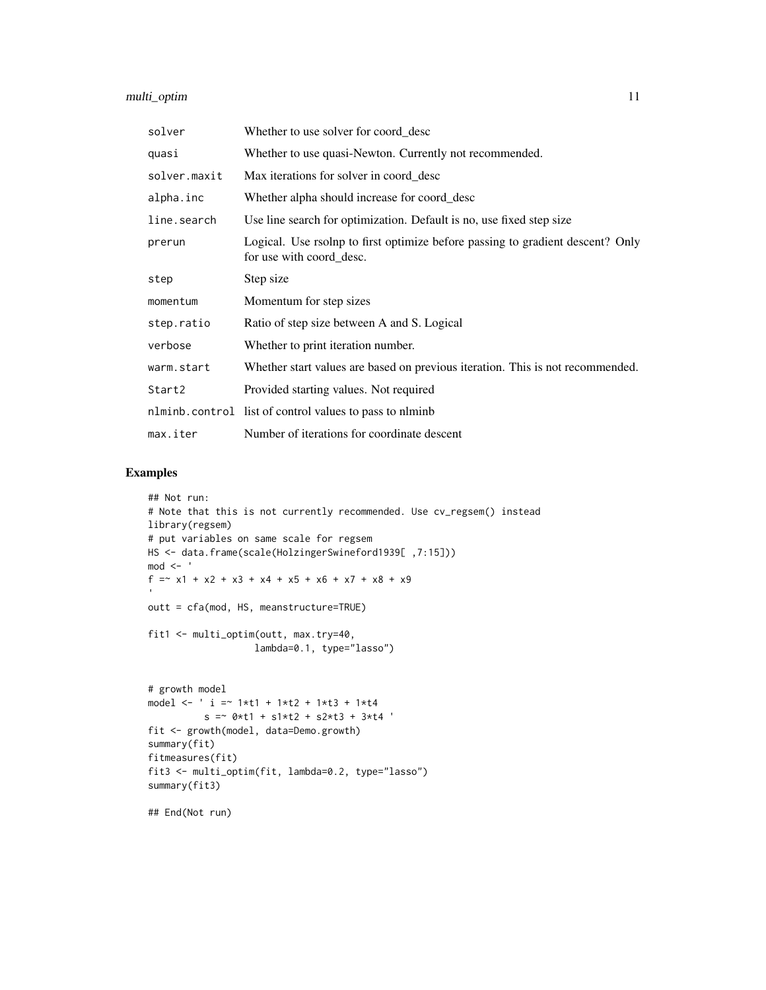| solver       | Whether to use solver for coord_desc                                                                       |
|--------------|------------------------------------------------------------------------------------------------------------|
| quasi        | Whether to use quasi-Newton. Currently not recommended.                                                    |
| solver.maxit | Max iterations for solver in coord_desc                                                                    |
| alpha.inc    | Whether alpha should increase for coord_desc                                                               |
| line.search  | Use line search for optimization. Default is no, use fixed step size                                       |
| prerun       | Logical. Use rsolnp to first optimize before passing to gradient descent? Only<br>for use with coord_desc. |
| step         | Step size                                                                                                  |
| momentum     | Momentum for step sizes                                                                                    |
| step.ratio   | Ratio of step size between A and S. Logical                                                                |
| verbose      | Whether to print iteration number.                                                                         |
| warm.start   | Whether start values are based on previous iteration. This is not recommended.                             |
| Start2       | Provided starting values. Not required                                                                     |
|              | nlminb.control list of control values to pass to nlminb                                                    |
| max.iter     | Number of iterations for coordinate descent                                                                |

# Examples

```
## Not run:
# Note that this is not currently recommended. Use cv_regsem() instead
library(regsem)
# put variables on same scale for regsem
HS <- data.frame(scale(HolzingerSwineford1939[ ,7:15]))
mod < -f =~ x1 + x2 + x3 + x4 + x5 + x6 + x7 + x8 + x9
outt = cfa(mod, HS, meanstructure=TRUE)
fit1 <- multi_optim(outt, max.try=40,
                   lambda=0.1, type="lasso")
# growth model
model <- ' i =~ 1*t1 + 1*t2 + 1*t3 + 1*t4
          s = -0*t1 + s1*t2 + s2*t3 + 3*t4fit <- growth(model, data=Demo.growth)
summary(fit)
fitmeasures(fit)
fit3 <- multi_optim(fit, lambda=0.2, type="lasso")
summary(fit3)
```
## End(Not run)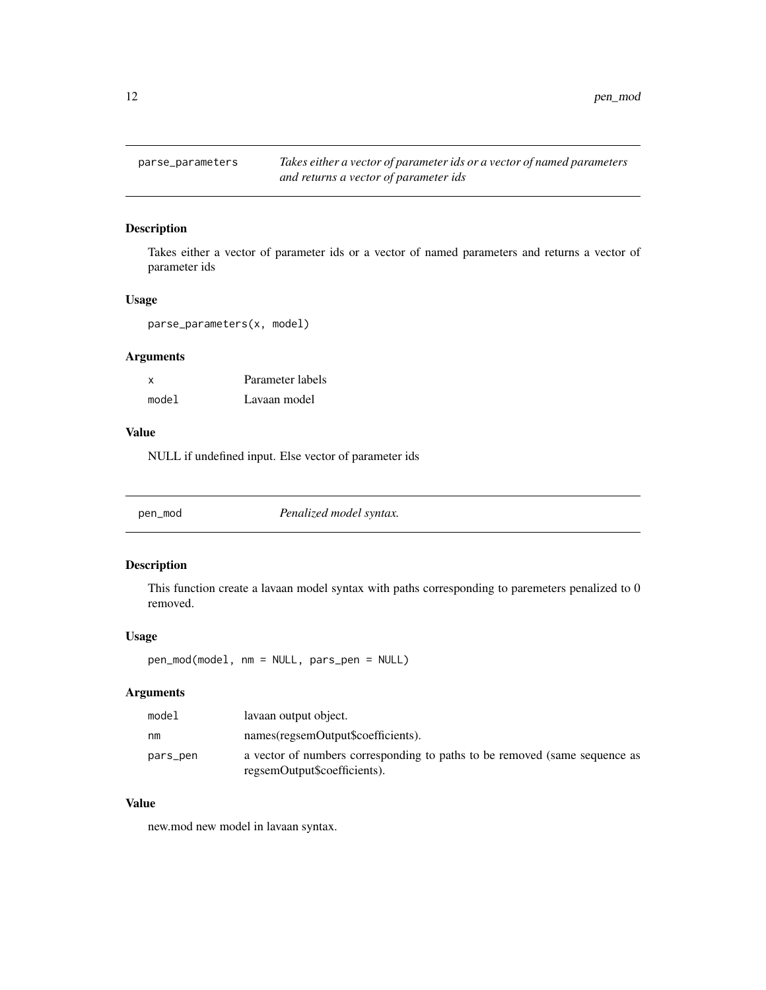<span id="page-11-0"></span>12 pen\_mod

# Description

Takes either a vector of parameter ids or a vector of named parameters and returns a vector of parameter ids

#### Usage

parse\_parameters(x, model)

# Arguments

| $\boldsymbol{\mathsf{x}}$ | Parameter labels |
|---------------------------|------------------|
| model                     | Lavaan model     |

#### Value

NULL if undefined input. Else vector of parameter ids

| pen_mod | Penalized model syntax. |  |
|---------|-------------------------|--|
|---------|-------------------------|--|

# Description

This function create a lavaan model syntax with paths corresponding to paremeters penalized to 0 removed.

#### Usage

pen\_mod(model, nm = NULL, pars\_pen = NULL)

# Arguments

| model    | lavaan output object.                                                                                      |
|----------|------------------------------------------------------------------------------------------------------------|
| nm       | names(regsemOutput\$coefficients).                                                                         |
| pars_pen | a vector of numbers corresponding to paths to be removed (same sequence as<br>regsemOutput\$coefficients). |

# Value

new.mod new model in lavaan syntax.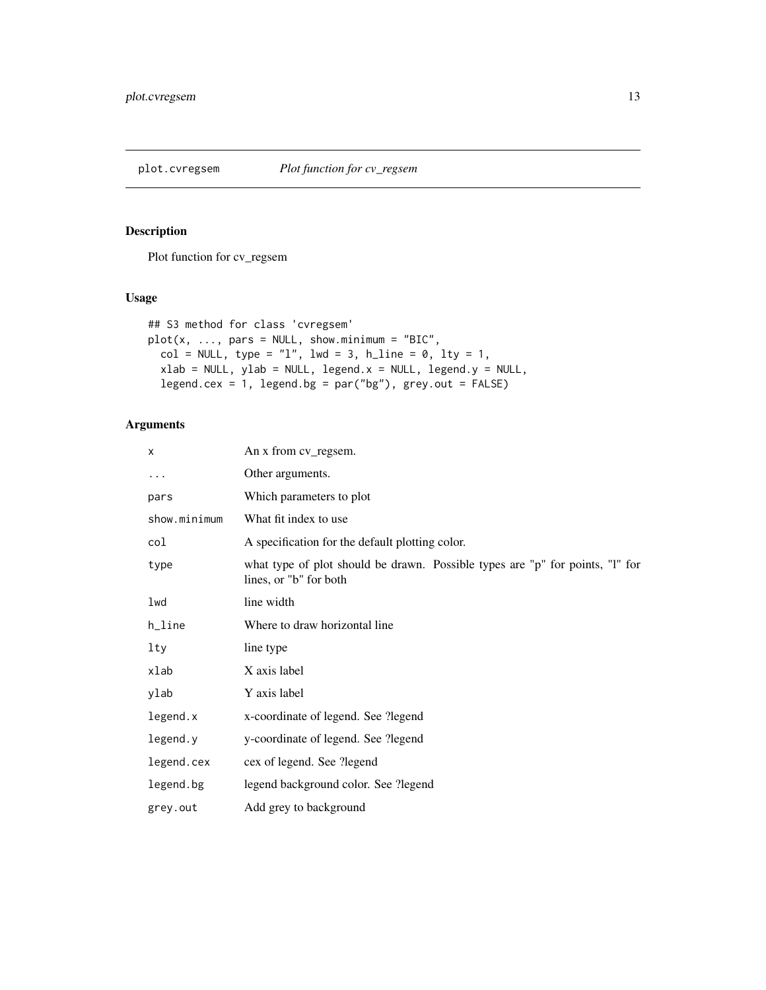<span id="page-12-0"></span>

Plot function for cv\_regsem

# Usage

```
## S3 method for class 'cvregsem'
plot(x, ..., pars = NULL, show.minimum = "BIC",col = NULL, type = "l", lwd = 3, h_line = 0, lty = 1,
 xlab = NULL, ylab = NULL, legend.x = NULL, legend.y = NULL,
  legend.cex = 1, legend.bg = par("bg"), grey.out = FALSE)
```

| x            | An x from cv_regsem.                                                                                    |
|--------------|---------------------------------------------------------------------------------------------------------|
| $\cdots$     | Other arguments.                                                                                        |
| pars         | Which parameters to plot                                                                                |
| show.minimum | What fit index to use                                                                                   |
| col          | A specification for the default plotting color.                                                         |
| type         | what type of plot should be drawn. Possible types are "p" for points, "I" for<br>lines, or "b" for both |
| lwd          | line width                                                                                              |
| h_line       | Where to draw horizontal line                                                                           |
| $1$ ty       | line type                                                                                               |
| xlab         | X axis label                                                                                            |
| ylab         | Y axis label                                                                                            |
| legend.x     | x-coordinate of legend. See ?legend                                                                     |
| legend.y     | y-coordinate of legend. See ?legend                                                                     |
| legend.cex   | cex of legend. See ?legend                                                                              |
| legend.bg    | legend background color. See ?legend                                                                    |
| grey.out     | Add grey to background                                                                                  |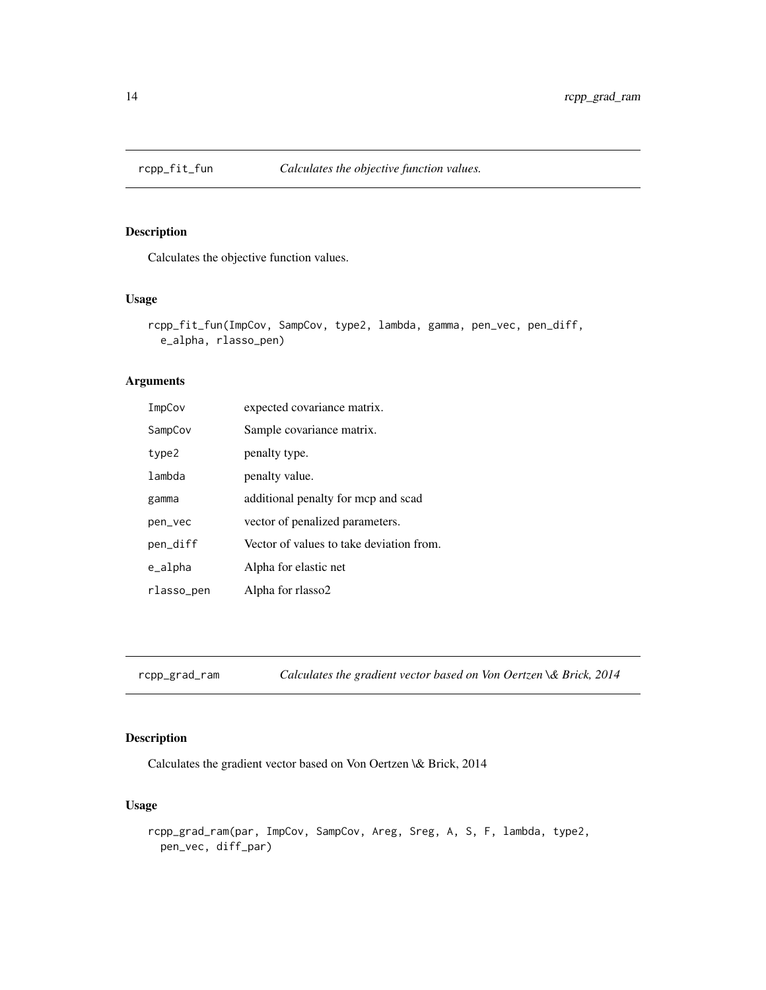<span id="page-13-0"></span>

Calculates the objective function values.

#### Usage

```
rcpp_fit_fun(ImpCov, SampCov, type2, lambda, gamma, pen_vec, pen_diff,
 e_alpha, rlasso_pen)
```
# Arguments

| ImpCov     | expected covariance matrix.              |
|------------|------------------------------------------|
| SampCov    | Sample covariance matrix.                |
| type2      | penalty type.                            |
| lambda     | penalty value.                           |
| gamma      | additional penalty for mcp and scad      |
| pen_vec    | vector of penalized parameters.          |
| pen_diff   | Vector of values to take deviation from. |
| e_alpha    | Alpha for elastic net                    |
| rlasso_pen | Alpha for rlasso2                        |

rcpp\_grad\_ram *Calculates the gradient vector based on Von Oertzen \& Brick, 2014*

# Description

Calculates the gradient vector based on Von Oertzen \& Brick, 2014

#### Usage

```
rcpp_grad_ram(par, ImpCov, SampCov, Areg, Sreg, A, S, F, lambda, type2,
 pen_vec, diff_par)
```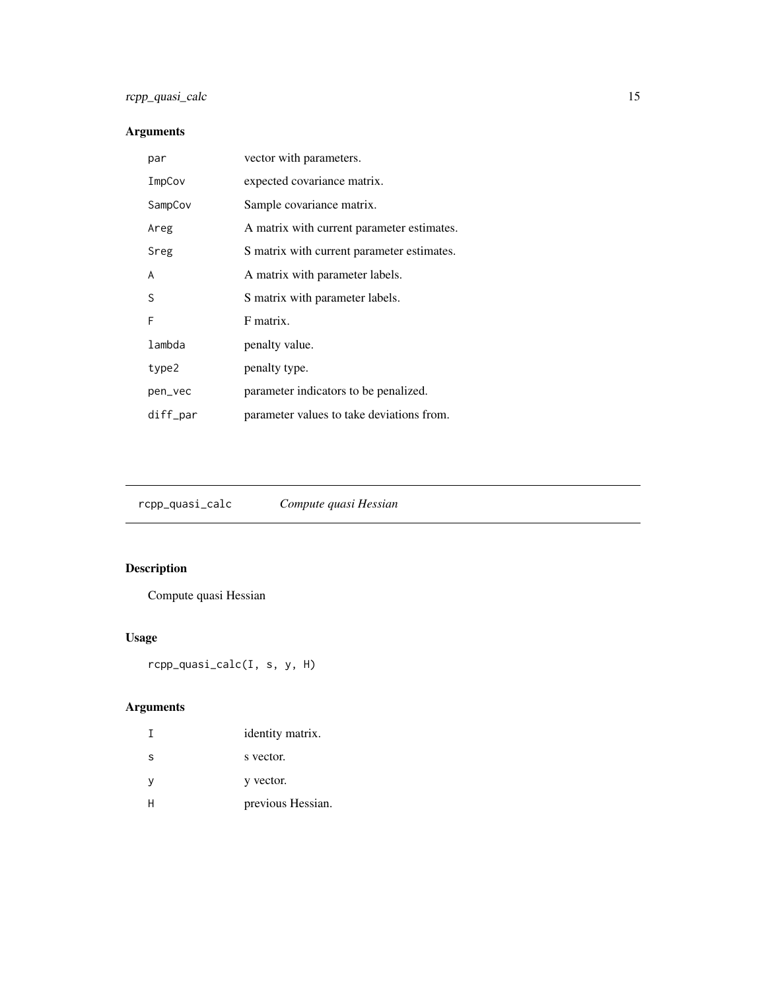# <span id="page-14-0"></span>rcpp\_quasi\_calc 15

# Arguments

| par      | vector with parameters.                    |
|----------|--------------------------------------------|
| ImpCov   | expected covariance matrix.                |
| SampCov  | Sample covariance matrix.                  |
| Areg     | A matrix with current parameter estimates. |
| Sreg     | S matrix with current parameter estimates. |
| A        | A matrix with parameter labels.            |
| S        | S matrix with parameter labels.            |
| F        | F matrix.                                  |
| lambda   | penalty value.                             |
| type2    | penalty type.                              |
| pen_vec  | parameter indicators to be penalized.      |
| diff_par | parameter values to take deviations from.  |

rcpp\_quasi\_calc *Compute quasi Hessian*

# Description

Compute quasi Hessian

# Usage

rcpp\_quasi\_calc(I, s, y, H)

|   | identity matrix.  |
|---|-------------------|
| S | s vector.         |
| y | y vector.         |
|   | previous Hessian. |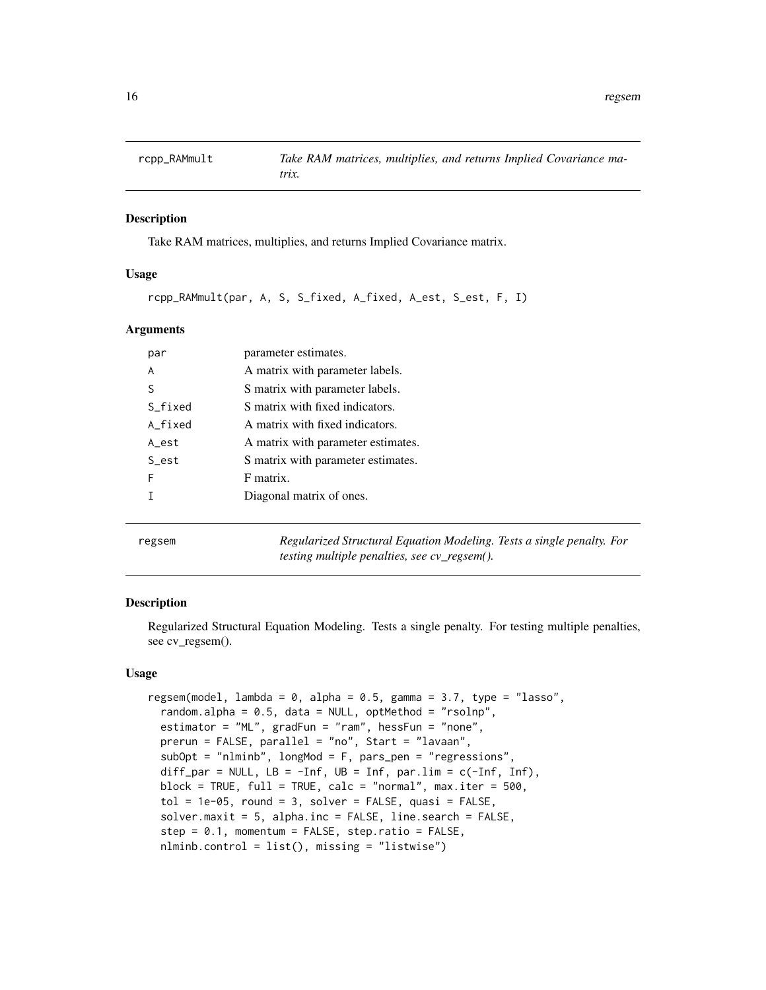<span id="page-15-0"></span>

Take RAM matrices, multiplies, and returns Implied Covariance matrix.

# Usage

rcpp\_RAMmult(par, A, S, S\_fixed, A\_fixed, A\_est, S\_est, F, I)

#### Arguments

| par     | parameter estimates.               |
|---------|------------------------------------|
| A       | A matrix with parameter labels.    |
| S       | S matrix with parameter labels.    |
| S fixed | S matrix with fixed indicators.    |
| A fixed | A matrix with fixed indicators.    |
| A est   | A matrix with parameter estimates. |
| S_est   | S matrix with parameter estimates. |
| F       | F matrix.                          |
|         | Diagonal matrix of ones.           |
|         |                                    |

regsem *Regularized Structural Equation Modeling. Tests a single penalty. For testing multiple penalties, see cv\_regsem().*

#### Description

Regularized Structural Equation Modeling. Tests a single penalty. For testing multiple penalties, see cv\_regsem().

#### Usage

```
regsem(model, lambda = 0, alpha = 0.5, gamma = 3.7, type = "lasso",
  random.alpha = 0.5, data = NULL, optMethod = "rsolnp",
  estimator = "ML", gradFun = "ram", hessFun = "none",
 prerun = FALSE, parallel = "no", Start = "lavaan",
  subOpt = "nlminb", longMod = F, pars_pen = "regressions",
  diff_par = NULL, LB = -Inf, UB = Inf, par.lim = c(-Inf), Inf),
 block = TRUE, full = TRUE, calc = "normal", max.iter = 500,
  tol = 1e-05, round = 3, solver = FALSE, quasi = FALSE,
  solver.maxit = 5, alpha.inc = FALSE, line.search = FALSE,
  step = 0.1, momentum = FALSE, step.ratio = FALSE,
  nlminb.control = list(), missing = "listwise")
```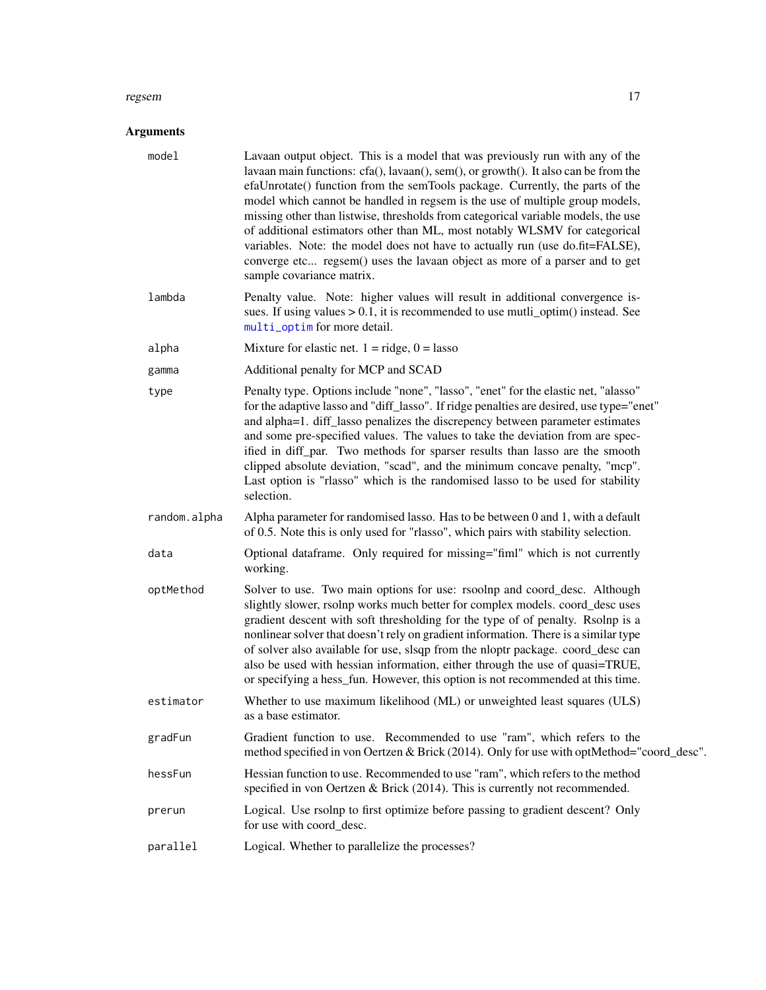#### <span id="page-16-0"></span>regsem and the set of the set of the set of the set of the set of the set of the set of the set of the set of the set of the set of the set of the set of the set of the set of the set of the set of the set of the set of th

| model        | Lavaan output object. This is a model that was previously run with any of the<br>lavaan main functions: cfa(), lavaan(), sem(), or growth(). It also can be from the<br>efaUnrotate() function from the semTools package. Currently, the parts of the<br>model which cannot be handled in regsem is the use of multiple group models,<br>missing other than listwise, thresholds from categorical variable models, the use<br>of additional estimators other than ML, most notably WLSMV for categorical<br>variables. Note: the model does not have to actually run (use do.fit=FALSE),<br>converge etc regsem() uses the lavaan object as more of a parser and to get<br>sample covariance matrix. |
|--------------|------------------------------------------------------------------------------------------------------------------------------------------------------------------------------------------------------------------------------------------------------------------------------------------------------------------------------------------------------------------------------------------------------------------------------------------------------------------------------------------------------------------------------------------------------------------------------------------------------------------------------------------------------------------------------------------------------|
| lambda       | Penalty value. Note: higher values will result in additional convergence is-<br>sues. If using values $> 0.1$ , it is recommended to use mutli_optim() instead. See<br>multi_optim for more detail.                                                                                                                                                                                                                                                                                                                                                                                                                                                                                                  |
| alpha        | Mixture for elastic net. $1 =$ ridge, $0 =$ lasso                                                                                                                                                                                                                                                                                                                                                                                                                                                                                                                                                                                                                                                    |
| gamma        | Additional penalty for MCP and SCAD                                                                                                                                                                                                                                                                                                                                                                                                                                                                                                                                                                                                                                                                  |
| type         | Penalty type. Options include "none", "lasso", "enet" for the elastic net, "alasso"<br>for the adaptive lasso and "diff_lasso". If ridge penalties are desired, use type="enet"<br>and alpha=1. diff_lasso penalizes the discrepency between parameter estimates<br>and some pre-specified values. The values to take the deviation from are spec-<br>ified in diff_par. Two methods for sparser results than lasso are the smooth<br>clipped absolute deviation, "scad", and the minimum concave penalty, "mcp".<br>Last option is "rlasso" which is the randomised lasso to be used for stability<br>selection.                                                                                    |
| random.alpha | Alpha parameter for randomised lasso. Has to be between 0 and 1, with a default<br>of 0.5. Note this is only used for "rlasso", which pairs with stability selection.                                                                                                                                                                                                                                                                                                                                                                                                                                                                                                                                |
| data         | Optional dataframe. Only required for missing="fiml" which is not currently<br>working.                                                                                                                                                                                                                                                                                                                                                                                                                                                                                                                                                                                                              |
| optMethod    | Solver to use. Two main options for use: rsoolnp and coord_desc. Although<br>slightly slower, rsolnp works much better for complex models. coord_desc uses<br>gradient descent with soft thresholding for the type of of penalty. Rsolnp is a<br>nonlinear solver that doesn't rely on gradient information. There is a similar type<br>of solver also available for use, slsqp from the nloptr package. coord_desc can<br>also be used with hessian information, either through the use of quasi=TRUE,<br>or specifying a hess_fun. However, this option is not recommended at this time.                                                                                                           |
| estimator    | Whether to use maximum likelihood (ML) or unweighted least squares (ULS)<br>as a base estimator.                                                                                                                                                                                                                                                                                                                                                                                                                                                                                                                                                                                                     |
| gradFun      | Gradient function to use. Recommended to use "ram", which refers to the<br>method specified in von Oertzen & Brick (2014). Only for use with optMethod="coord_desc".                                                                                                                                                                                                                                                                                                                                                                                                                                                                                                                                 |
| hessFun      | Hessian function to use. Recommended to use "ram", which refers to the method<br>specified in von Oertzen & Brick (2014). This is currently not recommended.                                                                                                                                                                                                                                                                                                                                                                                                                                                                                                                                         |
| prerun       | Logical. Use rsolnp to first optimize before passing to gradient descent? Only<br>for use with coord_desc.                                                                                                                                                                                                                                                                                                                                                                                                                                                                                                                                                                                           |
| parallel     | Logical. Whether to parallelize the processes?                                                                                                                                                                                                                                                                                                                                                                                                                                                                                                                                                                                                                                                       |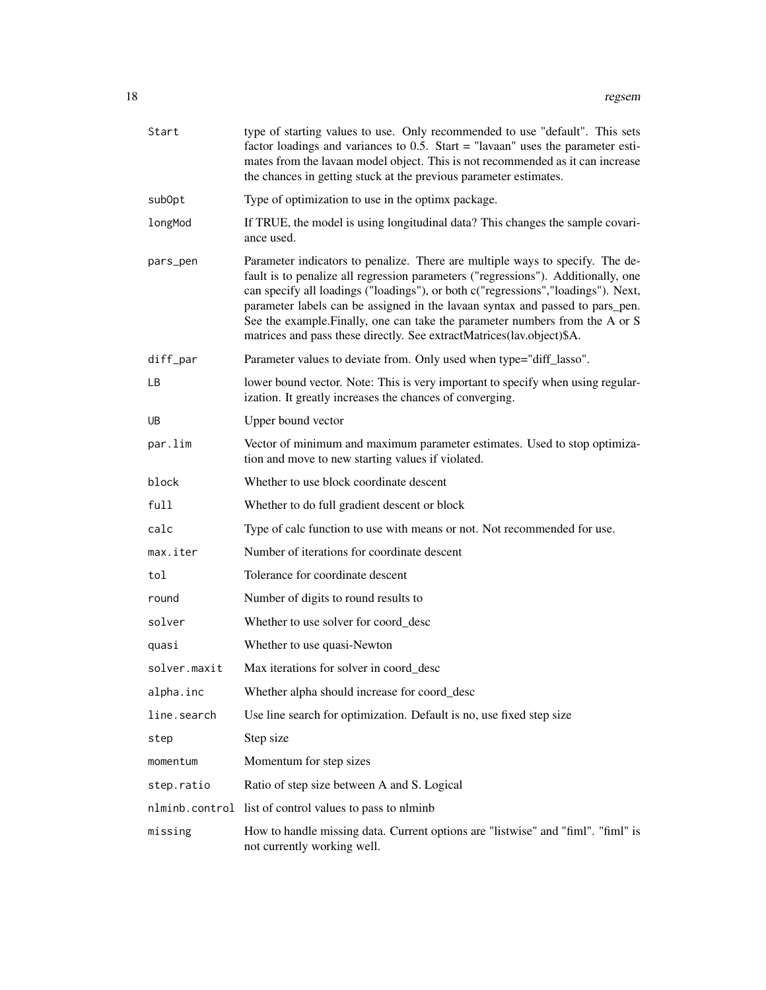| Start        | type of starting values to use. Only recommended to use "default". This sets<br>factor loadings and variances to $0.5$ . Start = "lavaan" uses the parameter esti-<br>mates from the lavaan model object. This is not recommended as it can increase<br>the chances in getting stuck at the previous parameter estimates.                                                                                                                                                                         |
|--------------|---------------------------------------------------------------------------------------------------------------------------------------------------------------------------------------------------------------------------------------------------------------------------------------------------------------------------------------------------------------------------------------------------------------------------------------------------------------------------------------------------|
| subOpt       | Type of optimization to use in the optimx package.                                                                                                                                                                                                                                                                                                                                                                                                                                                |
| longMod      | If TRUE, the model is using longitudinal data? This changes the sample covari-<br>ance used.                                                                                                                                                                                                                                                                                                                                                                                                      |
| pars_pen     | Parameter indicators to penalize. There are multiple ways to specify. The de-<br>fault is to penalize all regression parameters ("regressions"). Additionally, one<br>can specify all loadings ("loadings"), or both c("regressions","loadings"). Next,<br>parameter labels can be assigned in the lavaan syntax and passed to pars_pen.<br>See the example. Finally, one can take the parameter numbers from the A or S<br>matrices and pass these directly. See extractMatrices(lav.object)\$A. |
| diff_par     | Parameter values to deviate from. Only used when type="diff_lasso".                                                                                                                                                                                                                                                                                                                                                                                                                               |
| LВ           | lower bound vector. Note: This is very important to specify when using regular-<br>ization. It greatly increases the chances of converging.                                                                                                                                                                                                                                                                                                                                                       |
| UB           | Upper bound vector                                                                                                                                                                                                                                                                                                                                                                                                                                                                                |
| par.lim      | Vector of minimum and maximum parameter estimates. Used to stop optimiza-<br>tion and move to new starting values if violated.                                                                                                                                                                                                                                                                                                                                                                    |
| block        | Whether to use block coordinate descent                                                                                                                                                                                                                                                                                                                                                                                                                                                           |
| full         | Whether to do full gradient descent or block                                                                                                                                                                                                                                                                                                                                                                                                                                                      |
| calc         | Type of calc function to use with means or not. Not recommended for use.                                                                                                                                                                                                                                                                                                                                                                                                                          |
| max.iter     | Number of iterations for coordinate descent                                                                                                                                                                                                                                                                                                                                                                                                                                                       |
| tol          | Tolerance for coordinate descent                                                                                                                                                                                                                                                                                                                                                                                                                                                                  |
| round        | Number of digits to round results to                                                                                                                                                                                                                                                                                                                                                                                                                                                              |
| solver       | Whether to use solver for coord desc                                                                                                                                                                                                                                                                                                                                                                                                                                                              |
| quasi        | Whether to use quasi-Newton                                                                                                                                                                                                                                                                                                                                                                                                                                                                       |
| solver.maxit | Max iterations for solver in coord_desc                                                                                                                                                                                                                                                                                                                                                                                                                                                           |
| alpha.inc    | Whether alpha should increase for coord_desc                                                                                                                                                                                                                                                                                                                                                                                                                                                      |
| line.search  | Use line search for optimization. Default is no, use fixed step size                                                                                                                                                                                                                                                                                                                                                                                                                              |
| step         | Step size                                                                                                                                                                                                                                                                                                                                                                                                                                                                                         |
| momentum     | Momentum for step sizes                                                                                                                                                                                                                                                                                                                                                                                                                                                                           |
| step.ratio   | Ratio of step size between A and S. Logical                                                                                                                                                                                                                                                                                                                                                                                                                                                       |
|              | nlminb.control list of control values to pass to nlminb                                                                                                                                                                                                                                                                                                                                                                                                                                           |
| missing      | How to handle missing data. Current options are "listwise" and "fiml". "fiml" is<br>not currently working well.                                                                                                                                                                                                                                                                                                                                                                                   |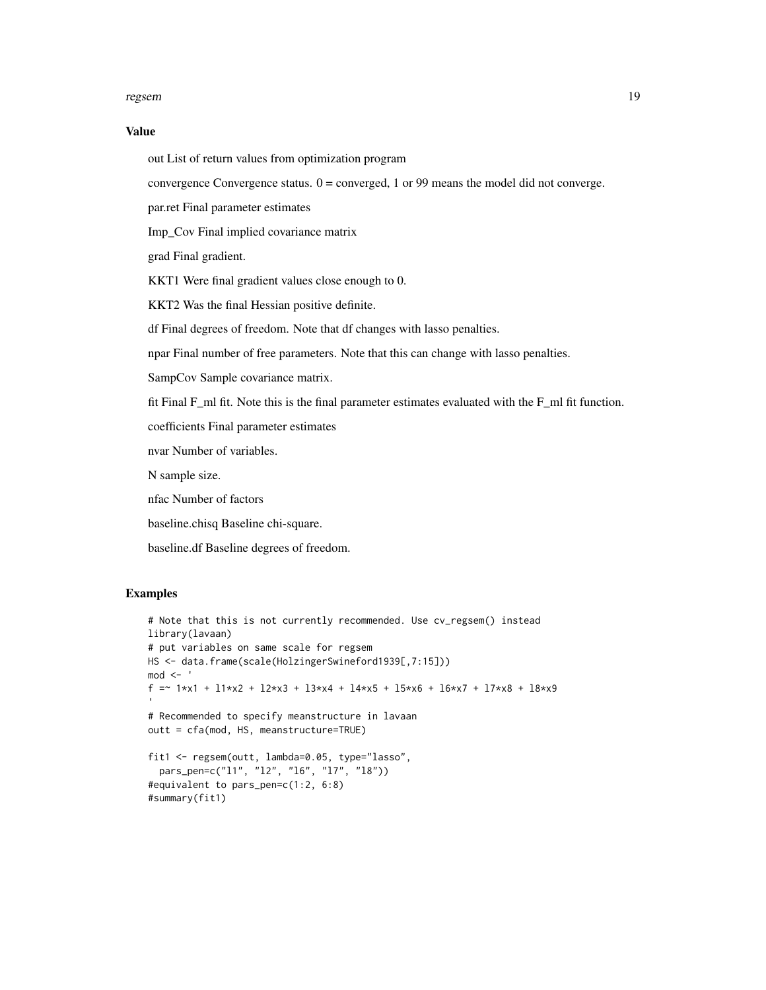#### regsem and the set of the set of the set of the set of the set of the set of the set of the set of the set of the set of the set of the set of the set of the set of the set of the set of the set of the set of the set of th

#### Value

out List of return values from optimization program

convergence Convergence status.  $0 =$  converged, 1 or 99 means the model did not converge.

par.ret Final parameter estimates

Imp\_Cov Final implied covariance matrix

grad Final gradient.

KKT1 Were final gradient values close enough to 0.

KKT2 Was the final Hessian positive definite.

df Final degrees of freedom. Note that df changes with lasso penalties.

npar Final number of free parameters. Note that this can change with lasso penalties.

SampCov Sample covariance matrix.

fit Final F\_ml fit. Note this is the final parameter estimates evaluated with the F\_ml fit function.

coefficients Final parameter estimates

nvar Number of variables.

N sample size.

nfac Number of factors

baseline.chisq Baseline chi-square.

baseline.df Baseline degrees of freedom.

#### Examples

```
# Note that this is not currently recommended. Use cv_regsem() instead
library(lavaan)
# put variables on same scale for regsem
HS <- data.frame(scale(HolzingerSwineford1939[,7:15]))
mod < -f =~ 1*x1 + l1*x2 + l2*x3 + l3*x4 + l4*x5 + l5*x6 + l6*x7 + l7*x8 + l8*x9
# Recommended to specify meanstructure in lavaan
outt = cfa(mod, HS, meanstructure=TRUE)
fit1 <- regsem(outt, lambda=0.05, type="lasso",
  pars_pen=c("l1", "l2", "l6", "l7", "l8"))
#equivalent to pars_pen=c(1:2, 6:8)
#summary(fit1)
```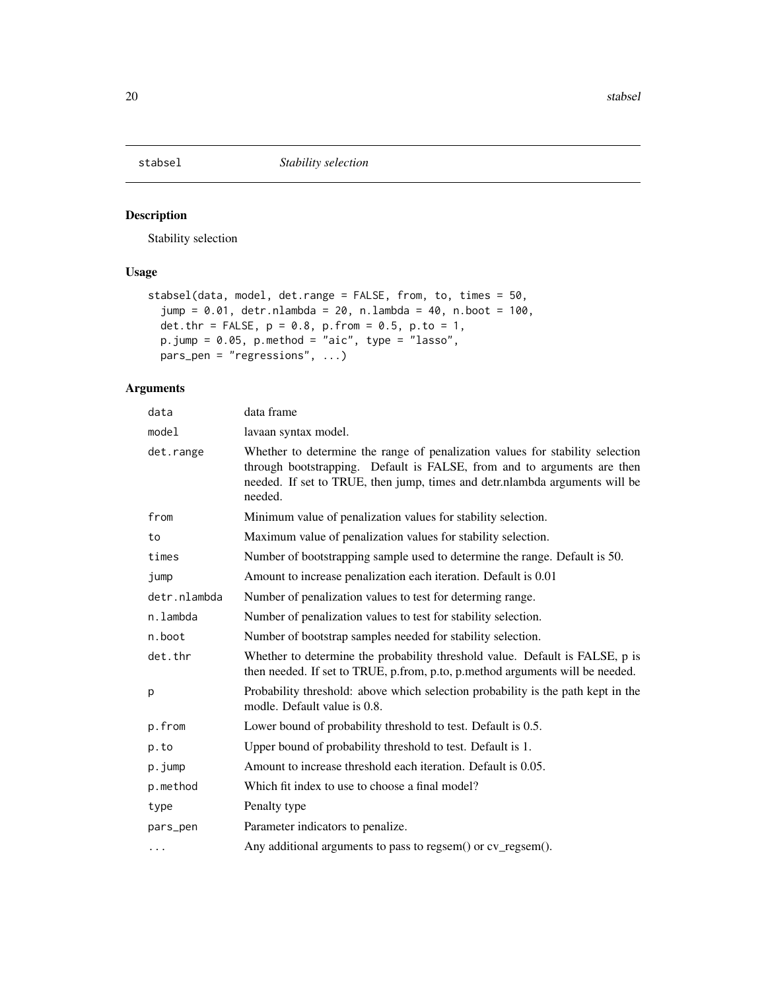<span id="page-19-0"></span>

Stability selection

# Usage

```
stabsel(data, model, det.range = FALSE, from, to, times = 50,
  jump = 0.01, detr.nlambda = 20, n.lambda = 40, n.boot = 100,
  det.thr = FALSE, p = 0.8, p. from = 0.5, p. to = 1,
  p.jump = 0.05, p.method = "aic", type = "lasso",
  pars_pen = "regressions", ...)
```

| data         | data frame                                                                                                                                                                                                                                         |
|--------------|----------------------------------------------------------------------------------------------------------------------------------------------------------------------------------------------------------------------------------------------------|
| model        | lavaan syntax model.                                                                                                                                                                                                                               |
| det.range    | Whether to determine the range of penalization values for stability selection<br>through bootstrapping. Default is FALSE, from and to arguments are then<br>needed. If set to TRUE, then jump, times and detr.nlambda arguments will be<br>needed. |
| from         | Minimum value of penalization values for stability selection.                                                                                                                                                                                      |
| to           | Maximum value of penalization values for stability selection.                                                                                                                                                                                      |
| times        | Number of bootstrapping sample used to determine the range. Default is 50.                                                                                                                                                                         |
| jump         | Amount to increase penalization each iteration. Default is 0.01                                                                                                                                                                                    |
| detr.nlambda | Number of penalization values to test for determing range.                                                                                                                                                                                         |
| n.lambda     | Number of penalization values to test for stability selection.                                                                                                                                                                                     |
| n.boot       | Number of bootstrap samples needed for stability selection.                                                                                                                                                                                        |
| det.thr      | Whether to determine the probability threshold value. Default is FALSE, p is<br>then needed. If set to TRUE, p.from, p.to, p.method arguments will be needed.                                                                                      |
| p            | Probability threshold: above which selection probability is the path kept in the<br>modle. Default value is 0.8.                                                                                                                                   |
| p.from       | Lower bound of probability threshold to test. Default is 0.5.                                                                                                                                                                                      |
| p.to         | Upper bound of probability threshold to test. Default is 1.                                                                                                                                                                                        |
| p.jump       | Amount to increase threshold each iteration. Default is 0.05.                                                                                                                                                                                      |
| p.method     | Which fit index to use to choose a final model?                                                                                                                                                                                                    |
| type         | Penalty type                                                                                                                                                                                                                                       |
| pars_pen     | Parameter indicators to penalize.                                                                                                                                                                                                                  |
| .            | Any additional arguments to pass to regsem() or cv_regsem().                                                                                                                                                                                       |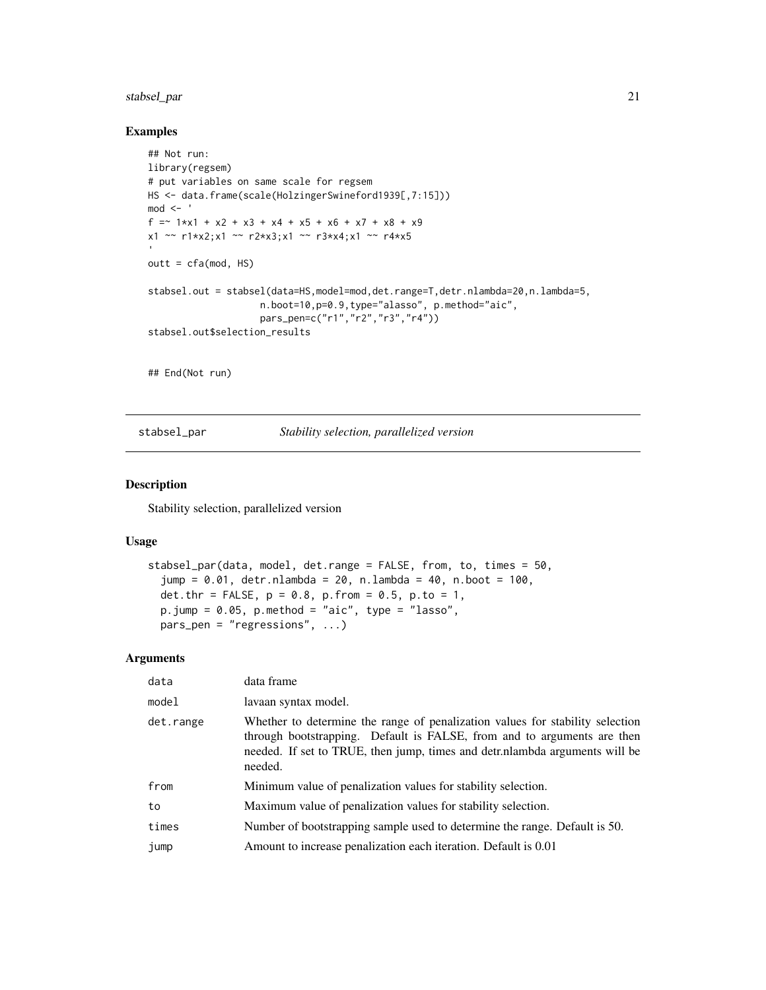# <span id="page-20-0"></span>stabsel\_par 21

#### Examples

```
## Not run:
library(regsem)
# put variables on same scale for regsem
HS <- data.frame(scale(HolzingerSwineford1939[,7:15]))
mod < -f =~ 1*x1 + x2 + x3 + x4 + x5 + x6 + x7 + x8 + x9
x1 \sim r1*x2;x1 \sim r2*x3;x1 \sim r3*x4;x1 \sim r4*x5outt = cfa(mod, HS)stabsel.out = stabsel(data=HS,model=mod,det.range=T,detr.nlambda=20,n.lambda=5,
                    n.boot=10,p=0.9,type="alasso", p.method="aic",
                    pars_pen=c("r1","r2","r3","r4"))
stabsel.out$selection_results
## End(Not run)
```
stabsel\_par *Stability selection, parallelized version*

#### Description

Stability selection, parallelized version

#### Usage

```
stabsel_par(data, model, det.range = FALSE, from, to, times = 50,
  jump = 0.01, detr.nlambda = 20, n.lambda = 40, n.boot = 100,
 det.thr = FALSE, p = 0.8, p. from = 0.5, p. to = 1,
 p.jump = 0.05, p.method = "aic", type = "lasso",
 pars_pen = "regressions", ...)
```

| data      | data frame                                                                                                                                                                                                                                        |
|-----------|---------------------------------------------------------------------------------------------------------------------------------------------------------------------------------------------------------------------------------------------------|
| model     | lavaan syntax model.                                                                                                                                                                                                                              |
| det.range | Whether to determine the range of penalization values for stability selection<br>through bootstrapping. Default is FALSE, from and to arguments are then<br>needed. If set to TRUE, then jump, times and detrinanded arguments will be<br>needed. |
| from      | Minimum value of penalization values for stability selection.                                                                                                                                                                                     |
| to        | Maximum value of penalization values for stability selection.                                                                                                                                                                                     |
| times     | Number of bootstrapping sample used to determine the range. Default is 50.                                                                                                                                                                        |
| jump      | Amount to increase penalization each iteration. Default is 0.01                                                                                                                                                                                   |
|           |                                                                                                                                                                                                                                                   |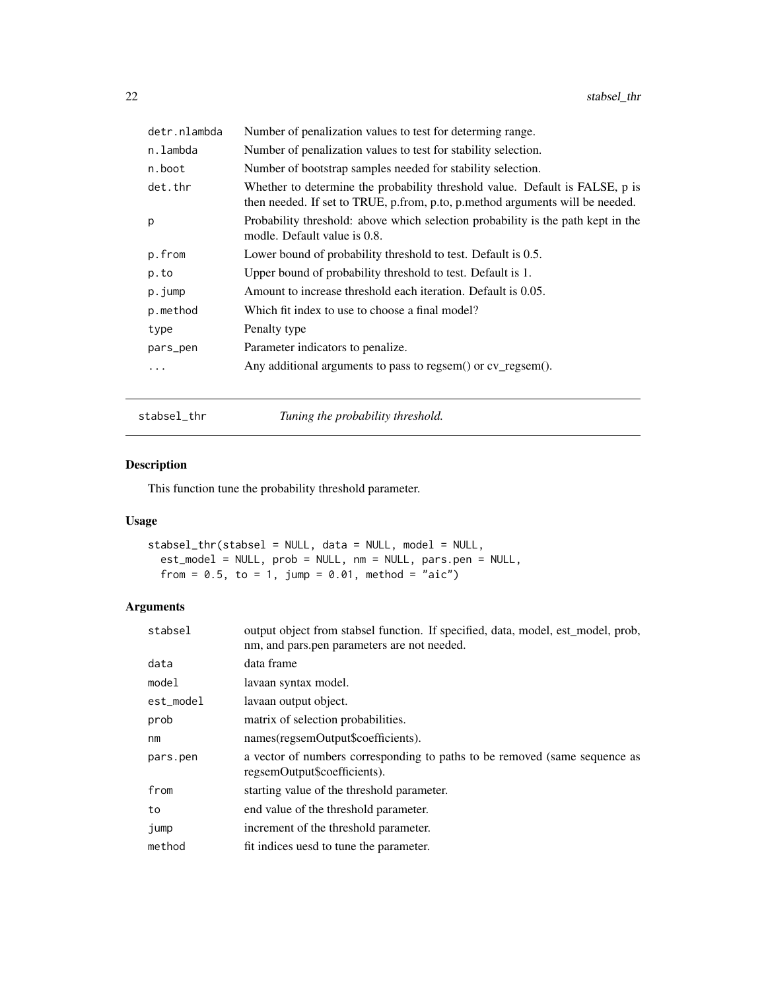<span id="page-21-0"></span>

| detr.nlambda | Number of penalization values to test for determing range.                                                                                                    |
|--------------|---------------------------------------------------------------------------------------------------------------------------------------------------------------|
| n.lambda     | Number of penalization values to test for stability selection.                                                                                                |
| n.boot       | Number of bootstrap samples needed for stability selection.                                                                                                   |
| det.thr      | Whether to determine the probability threshold value. Default is FALSE, p is<br>then needed. If set to TRUE, p.from, p.to, p.method arguments will be needed. |
| p            | Probability threshold: above which selection probability is the path kept in the<br>modle. Default value is 0.8.                                              |
| p.from       | Lower bound of probability threshold to test. Default is 0.5.                                                                                                 |
| p.to         | Upper bound of probability threshold to test. Default is 1.                                                                                                   |
| p.jump       | Amount to increase threshold each iteration. Default is 0.05.                                                                                                 |
| p.method     | Which fit index to use to choose a final model?                                                                                                               |
| type         | Penalty type                                                                                                                                                  |
| pars_pen     | Parameter indicators to penalize.                                                                                                                             |
| .            | Any additional arguments to pass to regsem() or cv_regsem().                                                                                                  |

stabsel\_thr *Tuning the probability threshold.*

# Description

This function tune the probability threshold parameter.

# Usage

```
stabsel_thr(stabsel = NULL, data = NULL, model = NULL,
 est_model = NULL, prob = NULL, nm = NULL, pars.pen = NULL,
 from = 0.5, to = 1, jump = 0.01, method = "aic")
```

| stabsel   | output object from stabsel function. If specified, data, model, est_model, prob,<br>nm, and pars.pen parameters are not needed. |
|-----------|---------------------------------------------------------------------------------------------------------------------------------|
| data      | data frame                                                                                                                      |
| model     | lavaan syntax model.                                                                                                            |
| est_model | lavaan output object.                                                                                                           |
| prob      | matrix of selection probabilities.                                                                                              |
| nm        | names(regsemOutput\$coefficients).                                                                                              |
| pars.pen  | a vector of numbers corresponding to paths to be removed (same sequence as<br>regsemOutput\$coefficients).                      |
| from      | starting value of the threshold parameter.                                                                                      |
| to        | end value of the threshold parameter.                                                                                           |
| jump      | increment of the threshold parameter.                                                                                           |
| method    | fit indices uesd to tune the parameter.                                                                                         |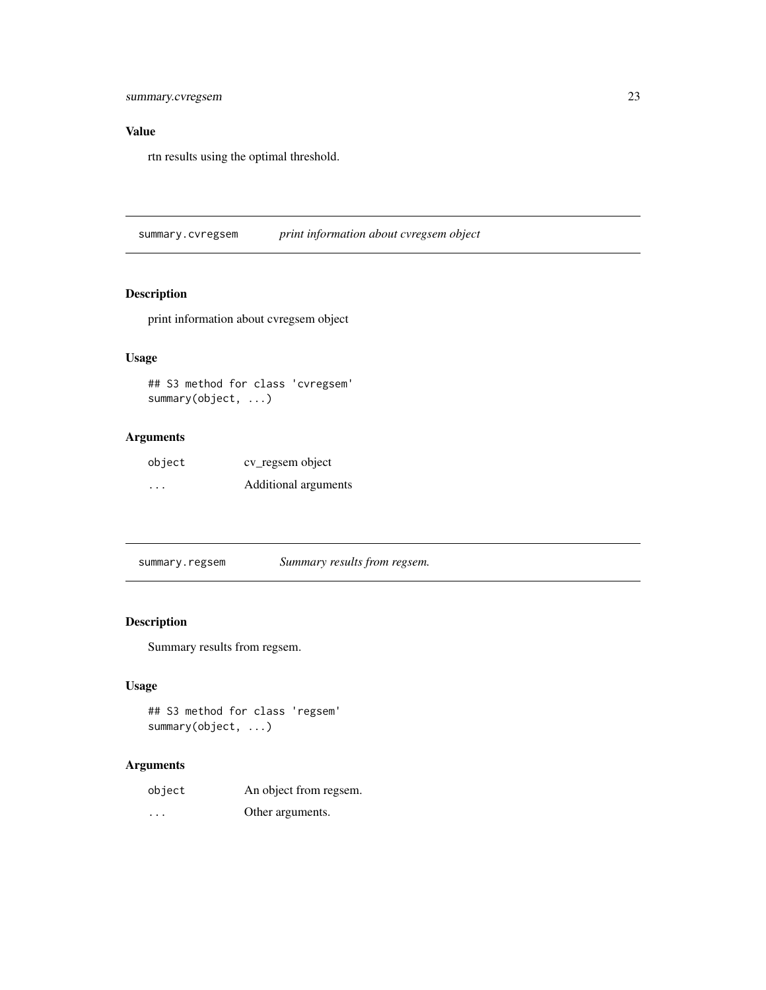# <span id="page-22-0"></span>Value

rtn results using the optimal threshold.

summary.cvregsem *print information about cvregsem object*

# Description

print information about cvregsem object

# Usage

## S3 method for class 'cvregsem' summary(object, ...)

# Arguments

| object   | cv_regsem object     |
|----------|----------------------|
| $\cdots$ | Additional arguments |

summary.regsem *Summary results from regsem.*

# Description

Summary results from regsem.

#### Usage

```
## S3 method for class 'regsem'
summary(object, ...)
```

| object   | An object from regsem. |
|----------|------------------------|
| $\cdots$ | Other arguments.       |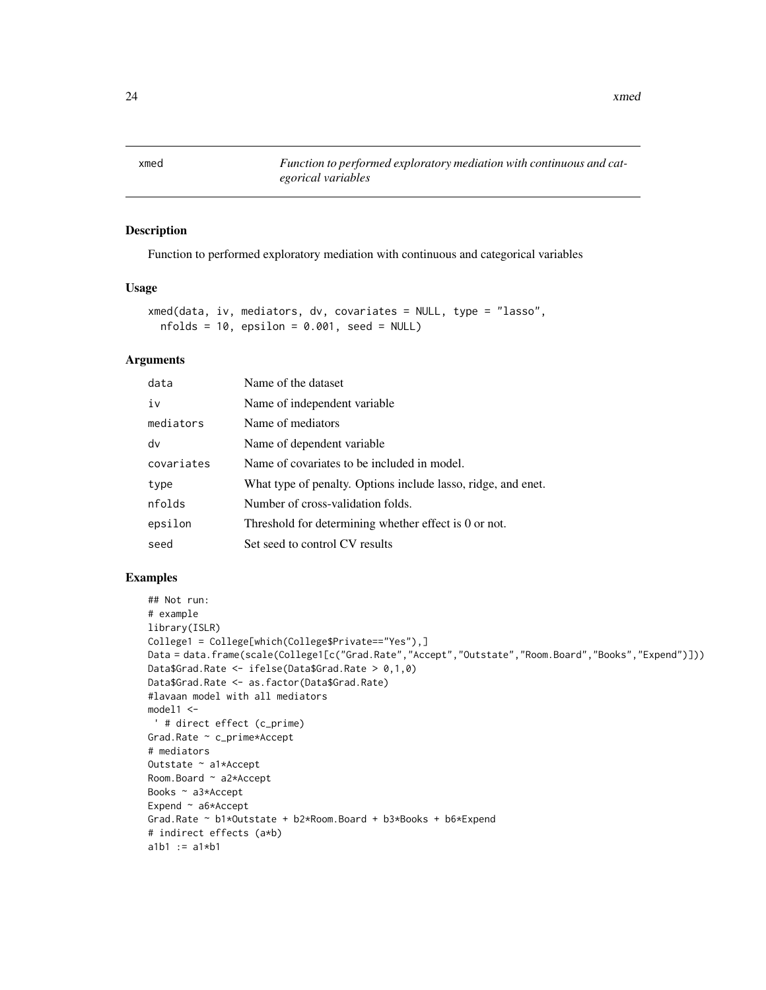<span id="page-23-0"></span>xmed *Function to performed exploratory mediation with continuous and categorical variables*

#### Description

Function to performed exploratory mediation with continuous and categorical variables

### Usage

```
xmed(data, iv, mediators, dv, covariates = NULL, type = "lasso",
 nfolds = 10, epsilon = 0.001, seed = NULL)
```
#### Arguments

| data       | Name of the dataset                                           |
|------------|---------------------------------------------------------------|
| iv         | Name of independent variable.                                 |
| mediators  | Name of mediators                                             |
| dv         | Name of dependent variable.                                   |
| covariates | Name of covariates to be included in model.                   |
| type       | What type of penalty. Options include lasso, ridge, and enet. |
| nfolds     | Number of cross-validation folds.                             |
| epsilon    | Threshold for determining whether effect is 0 or not.         |
| seed       | Set seed to control CV results                                |

# Examples

```
## Not run:
# example
library(ISLR)
College1 = College[which(College$Private=="Yes"),]
Data = data.frame(scale(College1[c("Grad.Rate","Accept","Outstate","Room.Board","Books","Expend")]))
Data$Grad.Rate <- ifelse(Data$Grad.Rate > 0,1,0)
Data$Grad.Rate <- as.factor(Data$Grad.Rate)
#lavaan model with all mediators
model1 <-
 ' # direct effect (c_prime)
Grad.Rate ~ c_prime*Accept
# mediators
Outstate ~ a1*Accept
Room.Board ~ a2*Accept
Books ~ a3*Accept
Expend ~ a6*Accept
Grad.Rate ~ b1*Outstate + b2*Room.Board + b3*Books + b6*Expend
# indirect effects (a*b)
a1b1 := a1*b1
```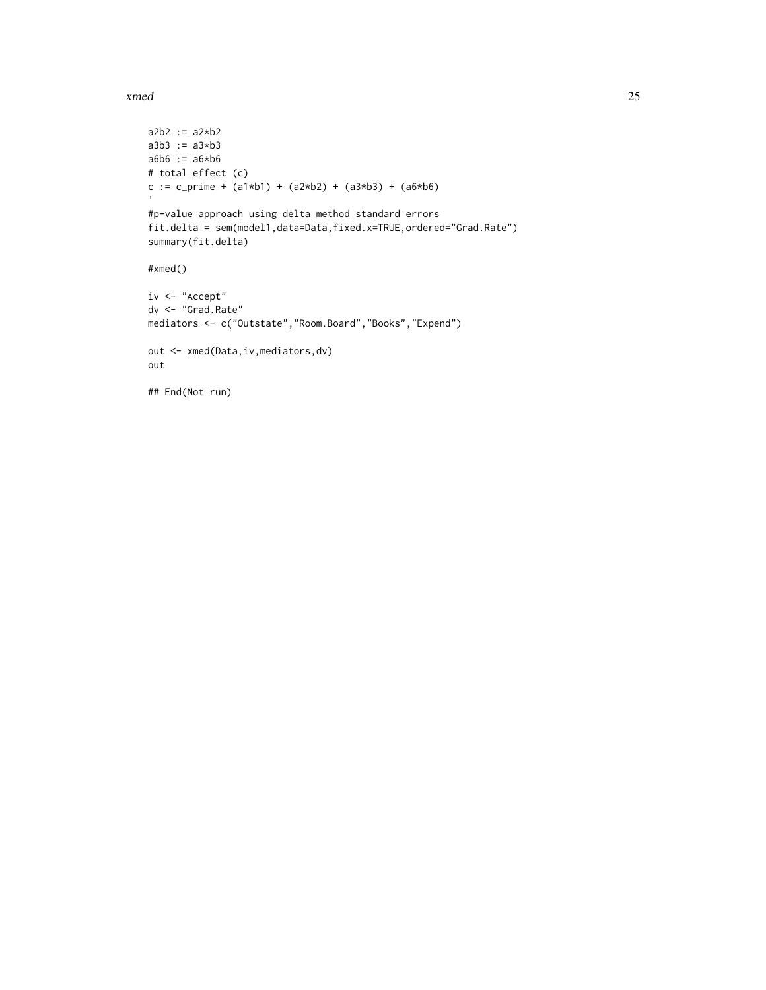xmed 25

```
a2b2 := a2*b2a3b3 := a3*b3
a6b6 := a6*b6
# total effect (c)
c := c_prime + (a1*b1) + (a2*b2) + (a3*b3) + (a6*b6)
 '#p-value approach using delta method standard errors
fit.delta = sem(model1,data=Data,fixed.x=TRUE,ordered="Grad.Rate")
summary(fit.delta)
#xmed()
iv <- "Accept"
dv <- "Grad.Rate"
mediators <- c("Outstate","Room.Board","Books","Expend")
out <- xmed(Data,iv,mediators,dv)
out
## End(Not run)
```